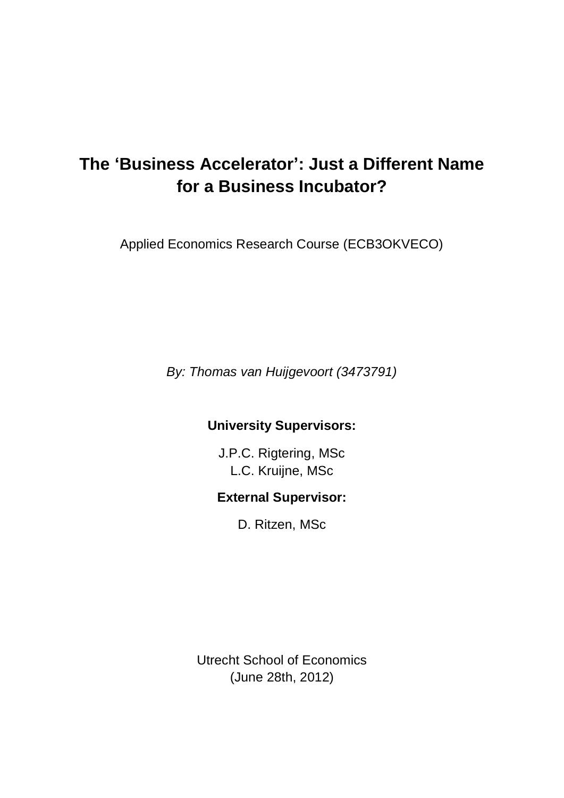# **The 'Business Accelerator': Just a Different Name for a Business Incubator?**

Applied Economics Research Course (ECB3OKVECO)

*By: Thomas van Huijgevoort (3473791)*

# **University Supervisors:**

J.P.C. Rigtering, MSc L.C. Kruijne, MSc

# **External Supervisor:**

D. Ritzen, MSc

Utrecht School of Economics (June 28th, 2012)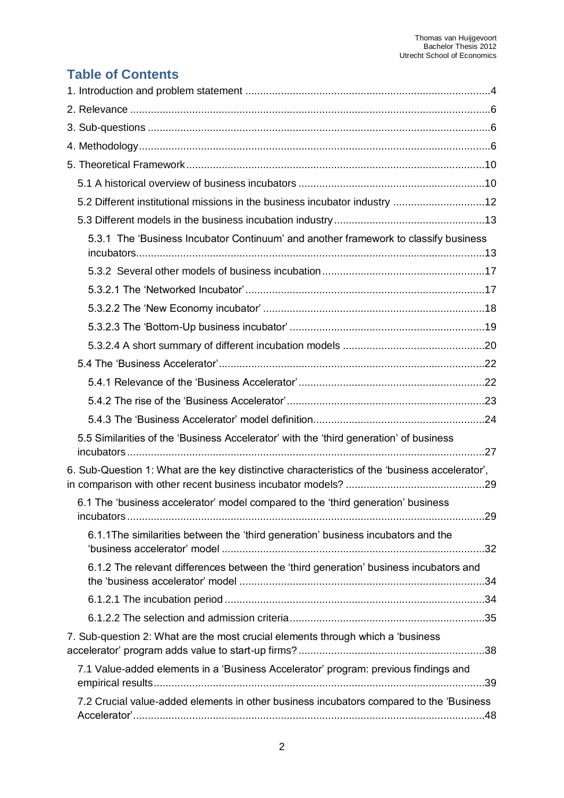# **Table of Contents**

| 5.2 Different institutional missions in the business incubator industry 12                     |  |
|------------------------------------------------------------------------------------------------|--|
|                                                                                                |  |
| 5.3.1 The 'Business Incubator Continuum' and another framework to classify business            |  |
|                                                                                                |  |
|                                                                                                |  |
|                                                                                                |  |
|                                                                                                |  |
|                                                                                                |  |
|                                                                                                |  |
|                                                                                                |  |
|                                                                                                |  |
|                                                                                                |  |
| 5.5 Similarities of the 'Business Accelerator' with the 'third generation' of business         |  |
| 6. Sub-Question 1: What are the key distinctive characteristics of the 'business accelerator', |  |
| 6.1 The 'business accelerator' model compared to the 'third generation' business               |  |
| 6.1.1 The similarities between the 'third generation' business incubators and the              |  |
| 6.1.2 The relevant differences between the 'third generation' business incubators and          |  |
|                                                                                                |  |
|                                                                                                |  |
| 7. Sub-question 2: What are the most crucial elements through which a 'business'               |  |
| 7.1 Value-added elements in a 'Business Accelerator' program: previous findings and            |  |
| 7.2 Crucial value-added elements in other business incubators compared to the 'Business'       |  |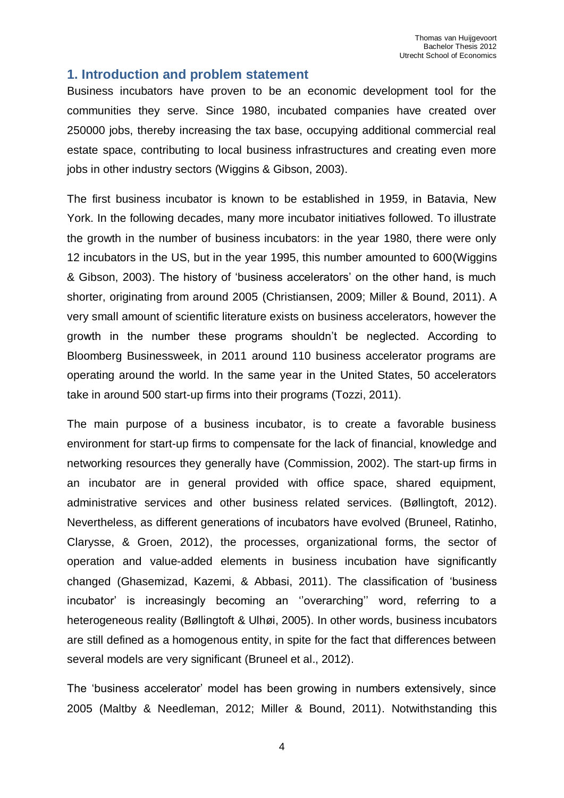## <span id="page-3-0"></span>**1. Introduction and problem statement**

Business incubators have proven to be an economic development tool for the communities they serve. Since 1980, incubated companies have created over 250000 jobs, thereby increasing the tax base, occupying additional commercial real estate space, contributing to local business infrastructures and creating even more jobs in other industry sectors (Wiggins & Gibson, 2003).

The first business incubator is known to be established in 1959, in Batavia, New York. In the following decades, many more incubator initiatives followed. To illustrate the growth in the number of business incubators: in the year 1980, there were only 12 incubators in the US, but in the year 1995, this number amounted to 600(Wiggins & Gibson, 2003). The history of 'business accelerators' on the other hand, is much shorter, originating from around 2005 (Christiansen, 2009; Miller & Bound, 2011). A very small amount of scientific literature exists on business accelerators, however the growth in the number these programs shouldn't be neglected. According to Bloomberg Businessweek, in 2011 around 110 business accelerator programs are operating around the world. In the same year in the United States, 50 accelerators take in around 500 start-up firms into their programs (Tozzi, 2011).

The main purpose of a business incubator, is to create a favorable business environment for start-up firms to compensate for the lack of financial, knowledge and networking resources they generally have (Commission, 2002). The start-up firms in an incubator are in general provided with office space, shared equipment, administrative services and other business related services. (Bøllingtoft, 2012). Nevertheless, as different generations of incubators have evolved (Bruneel, Ratinho, Clarysse, & Groen, 2012), the processes, organizational forms, the sector of operation and value-added elements in business incubation have significantly changed (Ghasemizad, Kazemi, & Abbasi, 2011). The classification of 'business incubator' is increasingly becoming an ''overarching'' word, referring to a heterogeneous reality (Bøllingtoft & Ulhøi, 2005). In other words, business incubators are still defined as a homogenous entity, in spite for the fact that differences between several models are very significant (Bruneel et al., 2012).

The 'business accelerator' model has been growing in numbers extensively, since 2005 (Maltby & Needleman, 2012; Miller & Bound, 2011). Notwithstanding this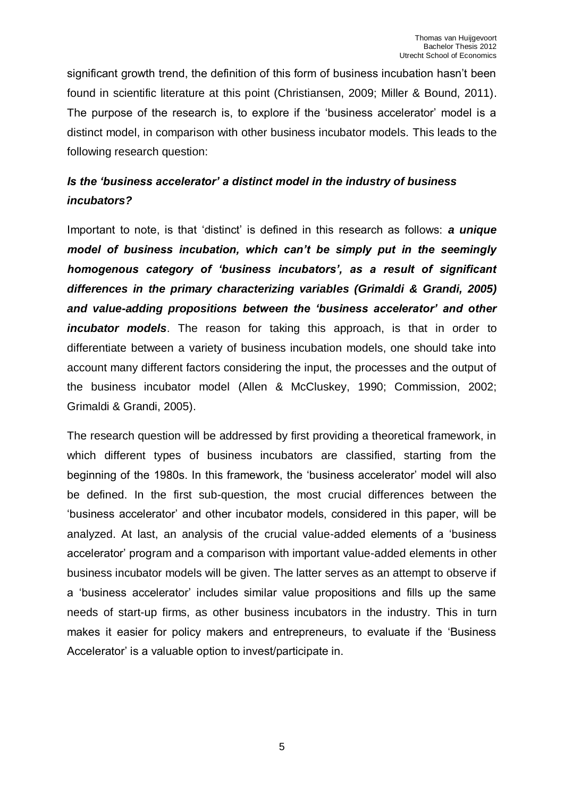significant growth trend, the definition of this form of business incubation hasn't been found in scientific literature at this point (Christiansen, 2009; Miller & Bound, 2011). The purpose of the research is, to explore if the 'business accelerator' model is a distinct model, in comparison with other business incubator models. This leads to the following research question:

# *Is the 'business accelerator' a distinct model in the industry of business incubators?*

Important to note, is that 'distinct' is defined in this research as follows: *a unique model of business incubation, which can't be simply put in the seemingly homogenous category of 'business incubators', as a result of significant differences in the primary characterizing variables (Grimaldi & Grandi, 2005) and value-adding propositions between the 'business accelerator' and other incubator models*. The reason for taking this approach, is that in order to differentiate between a variety of business incubation models, one should take into account many different factors considering the input, the processes and the output of the business incubator model (Allen & McCluskey, 1990; Commission, 2002; Grimaldi & Grandi, 2005).

The research question will be addressed by first providing a theoretical framework, in which different types of business incubators are classified, starting from the beginning of the 1980s. In this framework, the 'business accelerator' model will also be defined. In the first sub-question, the most crucial differences between the 'business accelerator' and other incubator models, considered in this paper, will be analyzed. At last, an analysis of the crucial value-added elements of a 'business accelerator' program and a comparison with important value-added elements in other business incubator models will be given. The latter serves as an attempt to observe if a 'business accelerator' includes similar value propositions and fills up the same needs of start-up firms, as other business incubators in the industry. This in turn makes it easier for policy makers and entrepreneurs, to evaluate if the 'Business Accelerator' is a valuable option to invest/participate in.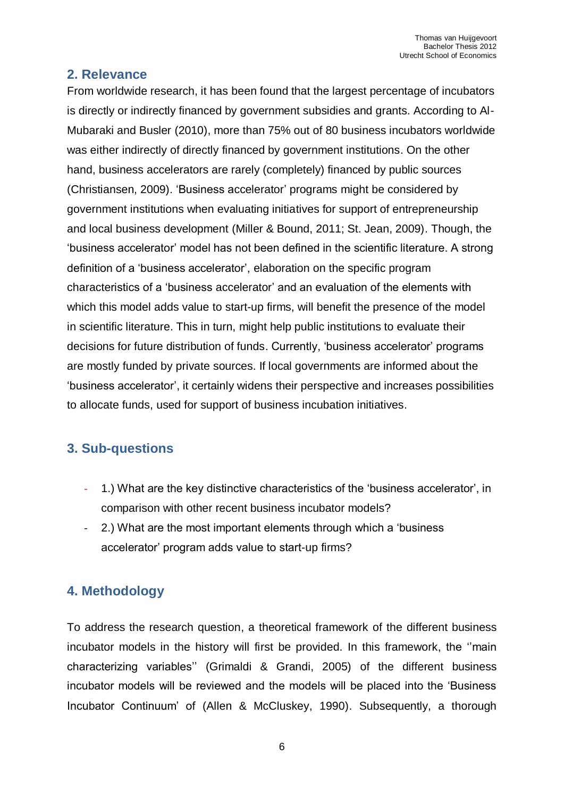# <span id="page-5-0"></span>**2. Relevance**

From worldwide research, it has been found that the largest percentage of incubators is directly or indirectly financed by government subsidies and grants. According to Al-Mubaraki and Busler (2010), more than 75% out of 80 business incubators worldwide was either indirectly of directly financed by government institutions. On the other hand, business accelerators are rarely (completely) financed by public sources (Christiansen, 2009). 'Business accelerator' programs might be considered by government institutions when evaluating initiatives for support of entrepreneurship and local business development (Miller & Bound, 2011; St. Jean, 2009). Though, the 'business accelerator' model has not been defined in the scientific literature. A strong definition of a 'business accelerator', elaboration on the specific program characteristics of a 'business accelerator' and an evaluation of the elements with which this model adds value to start-up firms, will benefit the presence of the model in scientific literature. This in turn, might help public institutions to evaluate their decisions for future distribution of funds. Currently, 'business accelerator' programs are mostly funded by private sources. If local governments are informed about the 'business accelerator', it certainly widens their perspective and increases possibilities to allocate funds, used for support of business incubation initiatives.

# <span id="page-5-1"></span>**3. Sub-questions**

- 1.) What are the key distinctive characteristics of the 'business accelerator', in comparison with other recent business incubator models?
- 2.) What are the most important elements through which a 'business accelerator' program adds value to start-up firms?

# <span id="page-5-2"></span>**4. Methodology**

To address the research question, a theoretical framework of the different business incubator models in the history will first be provided. In this framework, the ''main characterizing variables'' (Grimaldi & Grandi, 2005) of the different business incubator models will be reviewed and the models will be placed into the 'Business Incubator Continuum' of (Allen & McCluskey, 1990). Subsequently, a thorough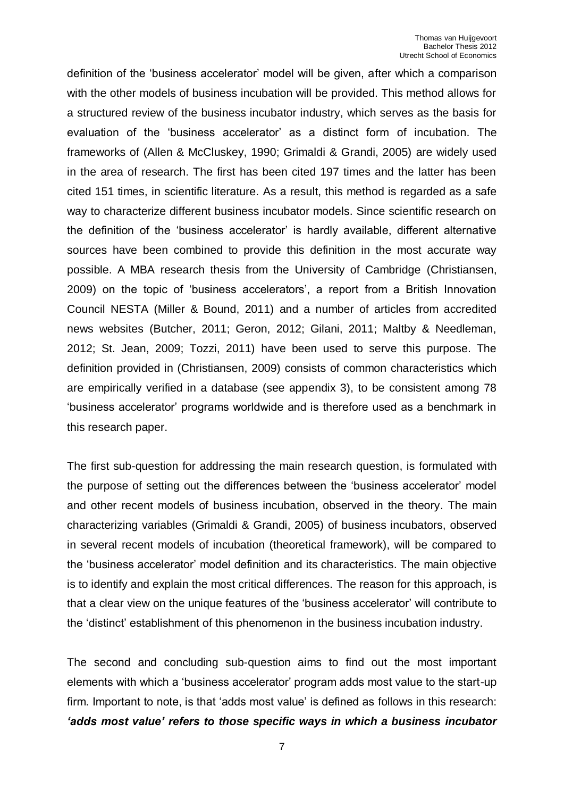definition of the 'business accelerator' model will be given, after which a comparison with the other models of business incubation will be provided. This method allows for a structured review of the business incubator industry, which serves as the basis for evaluation of the 'business accelerator' as a distinct form of incubation. The frameworks of (Allen & McCluskey, 1990; Grimaldi & Grandi, 2005) are widely used in the area of research. The first has been cited 197 times and the latter has been cited 151 times, in scientific literature. As a result, this method is regarded as a safe way to characterize different business incubator models. Since scientific research on the definition of the 'business accelerator' is hardly available, different alternative sources have been combined to provide this definition in the most accurate way possible. A MBA research thesis from the University of Cambridge (Christiansen, 2009) on the topic of 'business accelerators', a report from a British Innovation Council NESTA (Miller & Bound, 2011) and a number of articles from accredited news websites (Butcher, 2011; Geron, 2012; Gilani, 2011; Maltby & Needleman, 2012; St. Jean, 2009; Tozzi, 2011) have been used to serve this purpose. The definition provided in (Christiansen, 2009) consists of common characteristics which are empirically verified in a database (see appendix 3), to be consistent among 78 'business accelerator' programs worldwide and is therefore used as a benchmark in this research paper.

The first sub-question for addressing the main research question, is formulated with the purpose of setting out the differences between the 'business accelerator' model and other recent models of business incubation, observed in the theory. The main characterizing variables (Grimaldi & Grandi, 2005) of business incubators, observed in several recent models of incubation (theoretical framework), will be compared to the 'business accelerator' model definition and its characteristics. The main objective is to identify and explain the most critical differences. The reason for this approach, is that a clear view on the unique features of the 'business accelerator' will contribute to the 'distinct' establishment of this phenomenon in the business incubation industry.

The second and concluding sub-question aims to find out the most important elements with which a 'business accelerator' program adds most value to the start-up firm. Important to note, is that 'adds most value' is defined as follows in this research: *'adds most value' refers to those specific ways in which a business incubator*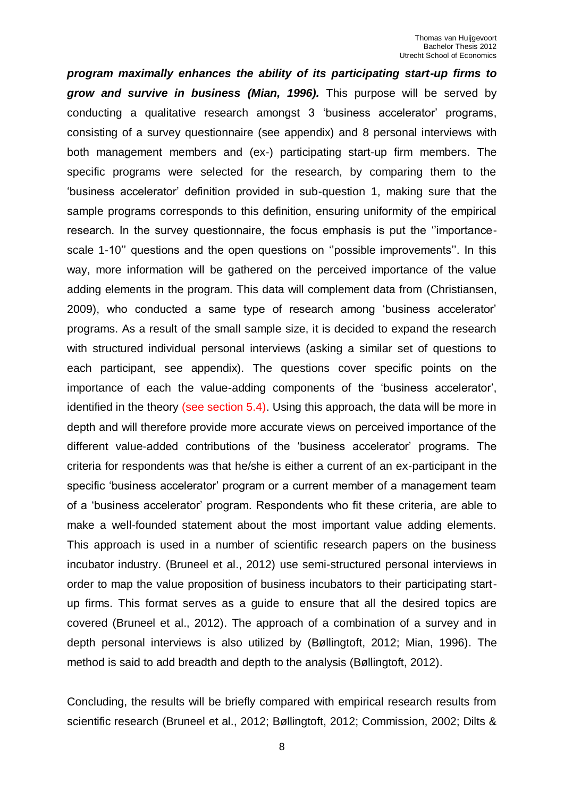*program maximally enhances the ability of its participating start-up firms to grow and survive in business (Mian, 1996).* This purpose will be served by conducting a qualitative research amongst 3 'business accelerator' programs, consisting of a survey questionnaire (see appendix) and 8 personal interviews with both management members and (ex-) participating start-up firm members. The specific programs were selected for the research, by comparing them to the 'business accelerator' definition provided in sub-question 1, making sure that the sample programs corresponds to this definition, ensuring uniformity of the empirical research. In the survey questionnaire, the focus emphasis is put the ''importancescale 1-10'' questions and the open questions on ''possible improvements''. In this way, more information will be gathered on the perceived importance of the value adding elements in the program. This data will complement data from (Christiansen, 2009), who conducted a same type of research among 'business accelerator' programs. As a result of the small sample size, it is decided to expand the research with structured individual personal interviews (asking a similar set of questions to each participant, see appendix). The questions cover specific points on the importance of each the value-adding components of the 'business accelerator', identified in the theory (see section 5.4). Using this approach, the data will be more in depth and will therefore provide more accurate views on perceived importance of the different value-added contributions of the 'business accelerator' programs. The criteria for respondents was that he/she is either a current of an ex-participant in the specific 'business accelerator' program or a current member of a management team of a 'business accelerator' program. Respondents who fit these criteria, are able to make a well-founded statement about the most important value adding elements. This approach is used in a number of scientific research papers on the business incubator industry. (Bruneel et al., 2012) use semi-structured personal interviews in order to map the value proposition of business incubators to their participating startup firms. This format serves as a guide to ensure that all the desired topics are covered (Bruneel et al., 2012). The approach of a combination of a survey and in depth personal interviews is also utilized by (Bøllingtoft, 2012; Mian, 1996). The method is said to add breadth and depth to the analysis (Bøllingtoft, 2012).

Concluding, the results will be briefly compared with empirical research results from scientific research (Bruneel et al., 2012; Bøllingtoft, 2012; Commission, 2002; Dilts &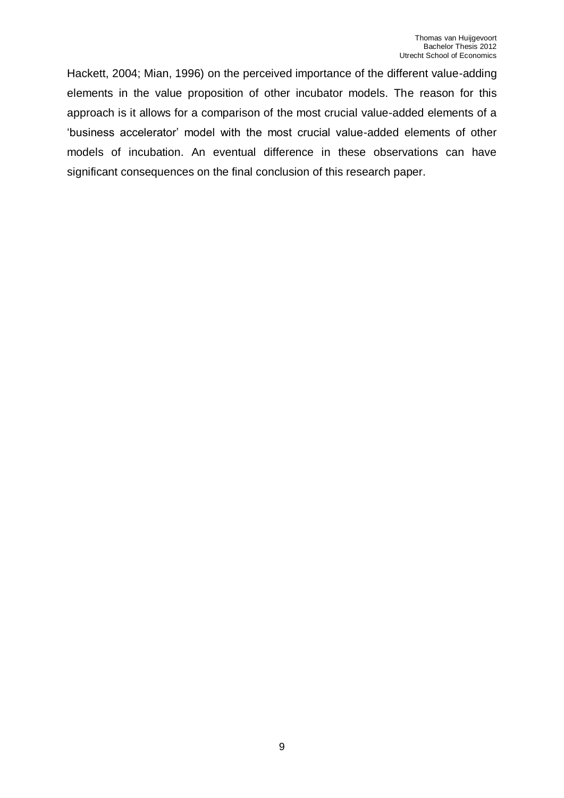Hackett, 2004; Mian, 1996) on the perceived importance of the different value-adding elements in the value proposition of other incubator models. The reason for this approach is it allows for a comparison of the most crucial value-added elements of a 'business accelerator' model with the most crucial value-added elements of other models of incubation. An eventual difference in these observations can have significant consequences on the final conclusion of this research paper.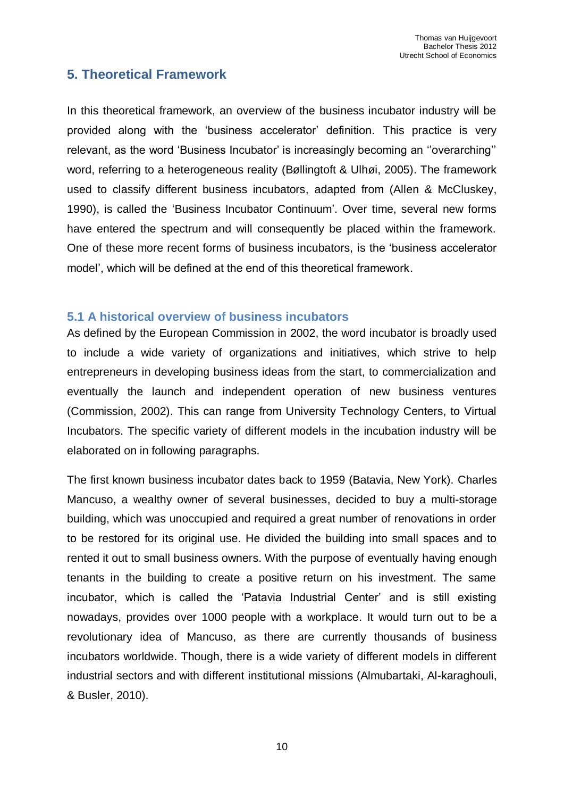# <span id="page-9-0"></span>**5. Theoretical Framework**

In this theoretical framework, an overview of the business incubator industry will be provided along with the 'business accelerator' definition. This practice is very relevant, as the word 'Business Incubator' is increasingly becoming an ''overarching'' word, referring to a heterogeneous reality (Bøllingtoft & Ulhøi, 2005). The framework used to classify different business incubators, adapted from (Allen & McCluskey, 1990), is called the 'Business Incubator Continuum'. Over time, several new forms have entered the spectrum and will consequently be placed within the framework. One of these more recent forms of business incubators, is the 'business accelerator model', which will be defined at the end of this theoretical framework.

#### <span id="page-9-1"></span>**5.1 A historical overview of business incubators**

As defined by the European Commission in 2002, the word incubator is broadly used to include a wide variety of organizations and initiatives, which strive to help entrepreneurs in developing business ideas from the start, to commercialization and eventually the launch and independent operation of new business ventures (Commission, 2002). This can range from University Technology Centers, to Virtual Incubators. The specific variety of different models in the incubation industry will be elaborated on in following paragraphs.

The first known business incubator dates back to 1959 (Batavia, New York). Charles Mancuso, a wealthy owner of several businesses, decided to buy a multi-storage building, which was unoccupied and required a great number of renovations in order to be restored for its original use. He divided the building into small spaces and to rented it out to small business owners. With the purpose of eventually having enough tenants in the building to create a positive return on his investment. The same incubator, which is called the 'Patavia Industrial Center' and is still existing nowadays, provides over 1000 people with a workplace. It would turn out to be a revolutionary idea of Mancuso, as there are currently thousands of business incubators worldwide. Though, there is a wide variety of different models in different industrial sectors and with different institutional missions (Almubartaki, Al-karaghouli, & Busler, 2010).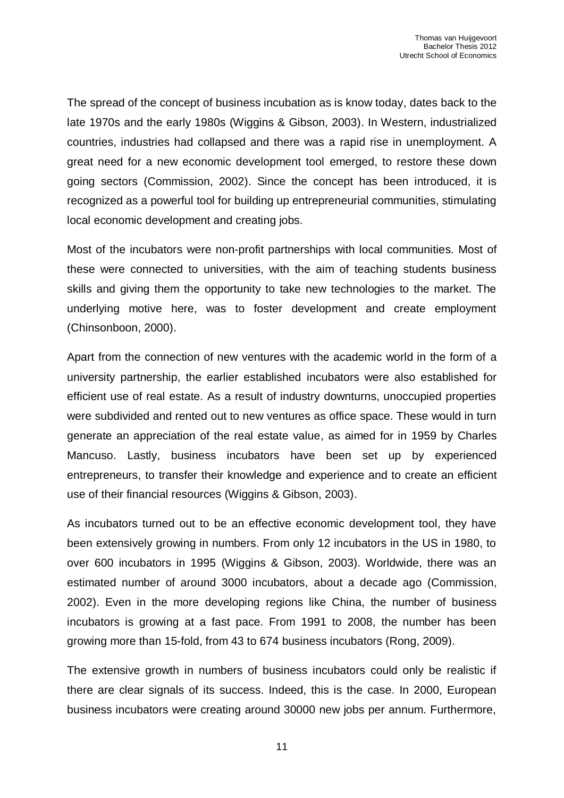The spread of the concept of business incubation as is know today, dates back to the late 1970s and the early 1980s (Wiggins & Gibson, 2003). In Western, industrialized countries, industries had collapsed and there was a rapid rise in unemployment. A great need for a new economic development tool emerged, to restore these down going sectors (Commission, 2002). Since the concept has been introduced, it is recognized as a powerful tool for building up entrepreneurial communities, stimulating local economic development and creating jobs.

Most of the incubators were non-profit partnerships with local communities. Most of these were connected to universities, with the aim of teaching students business skills and giving them the opportunity to take new technologies to the market. The underlying motive here, was to foster development and create employment (Chinsonboon, 2000).

Apart from the connection of new ventures with the academic world in the form of a university partnership, the earlier established incubators were also established for efficient use of real estate. As a result of industry downturns, unoccupied properties were subdivided and rented out to new ventures as office space. These would in turn generate an appreciation of the real estate value, as aimed for in 1959 by Charles Mancuso. Lastly, business incubators have been set up by experienced entrepreneurs, to transfer their knowledge and experience and to create an efficient use of their financial resources (Wiggins & Gibson, 2003).

As incubators turned out to be an effective economic development tool, they have been extensively growing in numbers. From only 12 incubators in the US in 1980, to over 600 incubators in 1995 (Wiggins & Gibson, 2003). Worldwide, there was an estimated number of around 3000 incubators, about a decade ago (Commission, 2002). Even in the more developing regions like China, the number of business incubators is growing at a fast pace. From 1991 to 2008, the number has been growing more than 15-fold, from 43 to 674 business incubators (Rong, 2009).

The extensive growth in numbers of business incubators could only be realistic if there are clear signals of its success. Indeed, this is the case. In 2000, European business incubators were creating around 30000 new jobs per annum. Furthermore,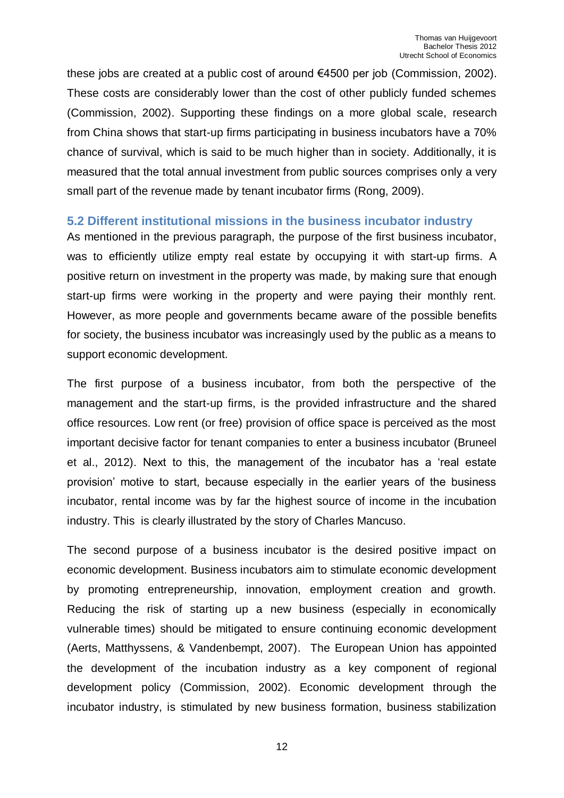these jobs are created at a public cost of around €4500 per job (Commission, 2002). These costs are considerably lower than the cost of other publicly funded schemes (Commission, 2002). Supporting these findings on a more global scale, research from China shows that start-up firms participating in business incubators have a 70% chance of survival, which is said to be much higher than in society. Additionally, it is measured that the total annual investment from public sources comprises only a very small part of the revenue made by tenant incubator firms (Rong, 2009).

#### <span id="page-11-0"></span>**5.2 Different institutional missions in the business incubator industry**

As mentioned in the previous paragraph, the purpose of the first business incubator, was to efficiently utilize empty real estate by occupying it with start-up firms. A positive return on investment in the property was made, by making sure that enough start-up firms were working in the property and were paying their monthly rent. However, as more people and governments became aware of the possible benefits for society, the business incubator was increasingly used by the public as a means to support economic development.

The first purpose of a business incubator, from both the perspective of the management and the start-up firms, is the provided infrastructure and the shared office resources. Low rent (or free) provision of office space is perceived as the most important decisive factor for tenant companies to enter a business incubator (Bruneel et al., 2012). Next to this, the management of the incubator has a 'real estate provision' motive to start, because especially in the earlier years of the business incubator, rental income was by far the highest source of income in the incubation industry. This is clearly illustrated by the story of Charles Mancuso.

The second purpose of a business incubator is the desired positive impact on economic development. Business incubators aim to stimulate economic development by promoting entrepreneurship, innovation, employment creation and growth. Reducing the risk of starting up a new business (especially in economically vulnerable times) should be mitigated to ensure continuing economic development (Aerts, Matthyssens, & Vandenbempt, 2007). The European Union has appointed the development of the incubation industry as a key component of regional development policy (Commission, 2002). Economic development through the incubator industry, is stimulated by new business formation, business stabilization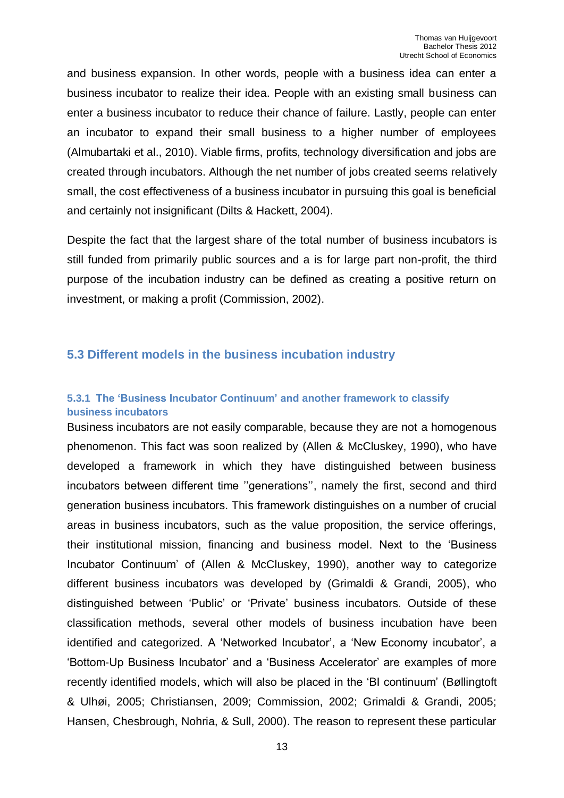and business expansion. In other words, people with a business idea can enter a business incubator to realize their idea. People with an existing small business can enter a business incubator to reduce their chance of failure. Lastly, people can enter an incubator to expand their small business to a higher number of employees (Almubartaki et al., 2010). Viable firms, profits, technology diversification and jobs are created through incubators. Although the net number of jobs created seems relatively small, the cost effectiveness of a business incubator in pursuing this goal is beneficial and certainly not insignificant (Dilts & Hackett, 2004).

Despite the fact that the largest share of the total number of business incubators is still funded from primarily public sources and a is for large part non-profit, the third purpose of the incubation industry can be defined as creating a positive return on investment, or making a profit (Commission, 2002).

## <span id="page-12-0"></span>**5.3 Different models in the business incubation industry**

## <span id="page-12-1"></span>**5.3.1 The 'Business Incubator Continuum' and another framework to classify business incubators**

Business incubators are not easily comparable, because they are not a homogenous phenomenon. This fact was soon realized by (Allen & McCluskey, 1990), who have developed a framework in which they have distinguished between business incubators between different time ''generations'', namely the first, second and third generation business incubators. This framework distinguishes on a number of crucial areas in business incubators, such as the value proposition, the service offerings, their institutional mission, financing and business model. Next to the 'Business Incubator Continuum' of (Allen & McCluskey, 1990), another way to categorize different business incubators was developed by (Grimaldi & Grandi, 2005), who distinguished between 'Public' or 'Private' business incubators. Outside of these classification methods, several other models of business incubation have been identified and categorized. A 'Networked Incubator', a 'New Economy incubator', a 'Bottom-Up Business Incubator' and a 'Business Accelerator' are examples of more recently identified models, which will also be placed in the 'BI continuum' (Bøllingtoft & Ulhøi, 2005; Christiansen, 2009; Commission, 2002; Grimaldi & Grandi, 2005; Hansen, Chesbrough, Nohria, & Sull, 2000). The reason to represent these particular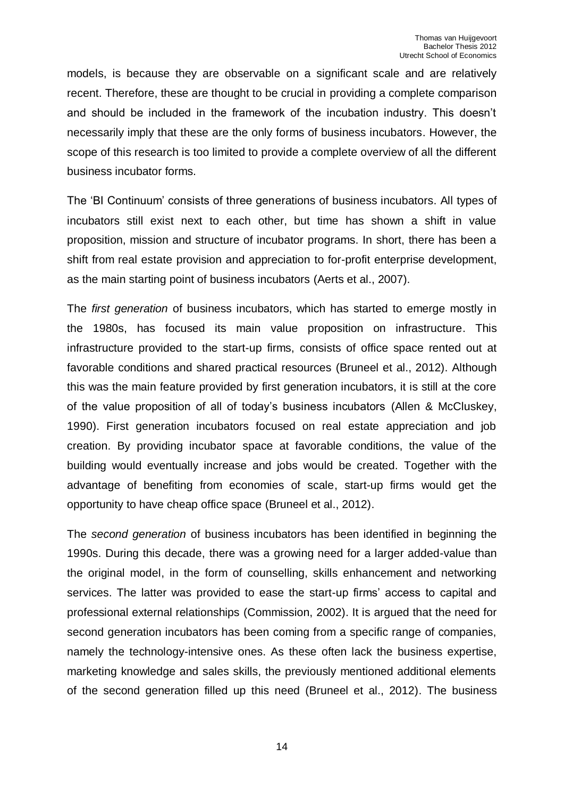models, is because they are observable on a significant scale and are relatively recent. Therefore, these are thought to be crucial in providing a complete comparison and should be included in the framework of the incubation industry. This doesn't necessarily imply that these are the only forms of business incubators. However, the scope of this research is too limited to provide a complete overview of all the different business incubator forms.

The 'BI Continuum' consists of three generations of business incubators. All types of incubators still exist next to each other, but time has shown a shift in value proposition, mission and structure of incubator programs. In short, there has been a shift from real estate provision and appreciation to for-profit enterprise development, as the main starting point of business incubators (Aerts et al., 2007).

The *first generation* of business incubators, which has started to emerge mostly in the 1980s, has focused its main value proposition on infrastructure. This infrastructure provided to the start-up firms, consists of office space rented out at favorable conditions and shared practical resources (Bruneel et al., 2012). Although this was the main feature provided by first generation incubators, it is still at the core of the value proposition of all of today's business incubators (Allen & McCluskey, 1990). First generation incubators focused on real estate appreciation and job creation. By providing incubator space at favorable conditions, the value of the building would eventually increase and jobs would be created. Together with the advantage of benefiting from economies of scale, start-up firms would get the opportunity to have cheap office space (Bruneel et al., 2012).

The *second generation* of business incubators has been identified in beginning the 1990s. During this decade, there was a growing need for a larger added-value than the original model, in the form of counselling, skills enhancement and networking services. The latter was provided to ease the start-up firms' access to capital and professional external relationships (Commission, 2002). It is argued that the need for second generation incubators has been coming from a specific range of companies, namely the technology-intensive ones. As these often lack the business expertise, marketing knowledge and sales skills, the previously mentioned additional elements of the second generation filled up this need (Bruneel et al., 2012). The business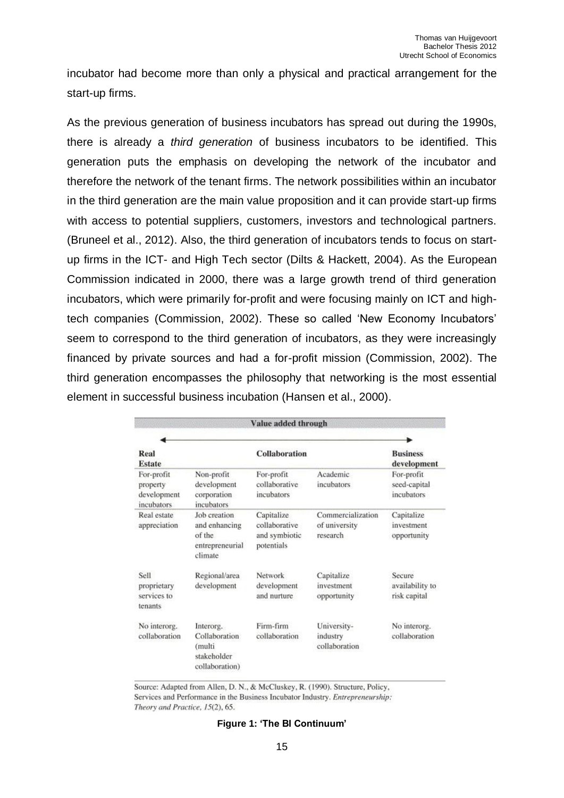incubator had become more than only a physical and practical arrangement for the start-up firms.

As the previous generation of business incubators has spread out during the 1990s, there is already a *third generation* of business incubators to be identified. This generation puts the emphasis on developing the network of the incubator and therefore the network of the tenant firms. The network possibilities within an incubator in the third generation are the main value proposition and it can provide start-up firms with access to potential suppliers, customers, investors and technological partners. (Bruneel et al., 2012). Also, the third generation of incubators tends to focus on startup firms in the ICT- and High Tech sector (Dilts & Hackett, 2004). As the European Commission indicated in 2000, there was a large growth trend of third generation incubators, which were primarily for-profit and were focusing mainly on ICT and hightech companies (Commission, 2002). These so called 'New Economy Incubators' seem to correspond to the third generation of incubators, as they were increasingly financed by private sources and had a for-profit mission (Commission, 2002). The third generation encompasses the philosophy that networking is the most essential element in successful business incubation (Hansen et al., 2000).

ī

| Value added through                                 |                                                                        |                                                            |                                                |                                           |
|-----------------------------------------------------|------------------------------------------------------------------------|------------------------------------------------------------|------------------------------------------------|-------------------------------------------|
|                                                     |                                                                        |                                                            |                                                |                                           |
| Real<br><b>Estate</b>                               |                                                                        | <b>Collaboration</b>                                       |                                                | <b>Business</b><br>development            |
| For-profit<br>property<br>development<br>incubators | Non-profit<br>development<br>corporation<br>incubators                 | For-profit<br>collaborative<br>incubators                  | Academic<br>incubators                         | For-profit<br>seed-capital<br>incubators  |
| Real estate<br>appreciation                         | Job creation<br>and enhancing<br>of the<br>entrepreneurial<br>climate  | Capitalize<br>collaborative<br>and symbiotic<br>potentials | Commercialization<br>of university<br>research | Capitalize<br>investment<br>opportunity   |
| Sell<br>proprietary<br>services to<br>tenants       | Regional/area<br>development                                           | Network<br>development<br>and nurture.                     | Capitalize<br>investment<br>opportunity        | Secure<br>availability to<br>risk capital |
| No interorg.<br>collaboration                       | Interorg.<br>Collaboration<br>(multi)<br>stakeholder<br>collaboration) | Firm-firm<br>collaboration                                 | University-<br>industry<br>collaboration       | No interorg.<br>collaboration             |

Source: Adapted from Allen, D. N., & McCluskey, R. (1990). Structure, Policy, Services and Performance in the Business Incubator Industry. Entrepreneurship: Theory and Practice, 15(2), 65.

#### **Figure 1: 'The BI Continuum'**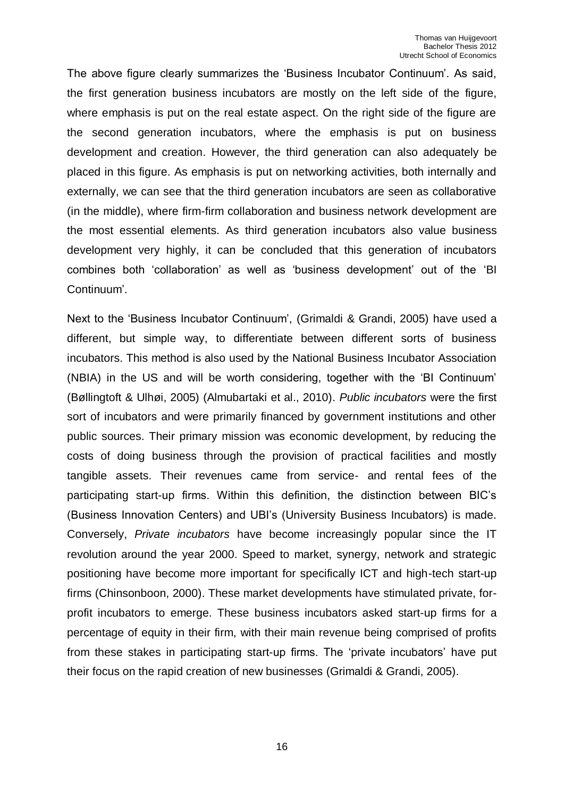The above figure clearly summarizes the 'Business Incubator Continuum'. As said, the first generation business incubators are mostly on the left side of the figure, where emphasis is put on the real estate aspect. On the right side of the figure are the second generation incubators, where the emphasis is put on business development and creation. However, the third generation can also adequately be placed in this figure. As emphasis is put on networking activities, both internally and externally, we can see that the third generation incubators are seen as collaborative (in the middle), where firm-firm collaboration and business network development are the most essential elements. As third generation incubators also value business development very highly, it can be concluded that this generation of incubators combines both 'collaboration' as well as 'business development' out of the 'BI Continuum'.

Next to the 'Business Incubator Continuum', (Grimaldi & Grandi, 2005) have used a different, but simple way, to differentiate between different sorts of business incubators. This method is also used by the National Business Incubator Association (NBIA) in the US and will be worth considering, together with the 'BI Continuum' (Bøllingtoft & Ulhøi, 2005) (Almubartaki et al., 2010). *Public incubators* were the first sort of incubators and were primarily financed by government institutions and other public sources. Their primary mission was economic development, by reducing the costs of doing business through the provision of practical facilities and mostly tangible assets. Their revenues came from service- and rental fees of the participating start-up firms. Within this definition, the distinction between BIC's (Business Innovation Centers) and UBI's (University Business Incubators) is made. Conversely, *Private incubators* have become increasingly popular since the IT revolution around the year 2000. Speed to market, synergy, network and strategic positioning have become more important for specifically ICT and high-tech start-up firms (Chinsonboon, 2000). These market developments have stimulated private, forprofit incubators to emerge. These business incubators asked start-up firms for a percentage of equity in their firm, with their main revenue being comprised of profits from these stakes in participating start-up firms. The 'private incubators' have put their focus on the rapid creation of new businesses (Grimaldi & Grandi, 2005).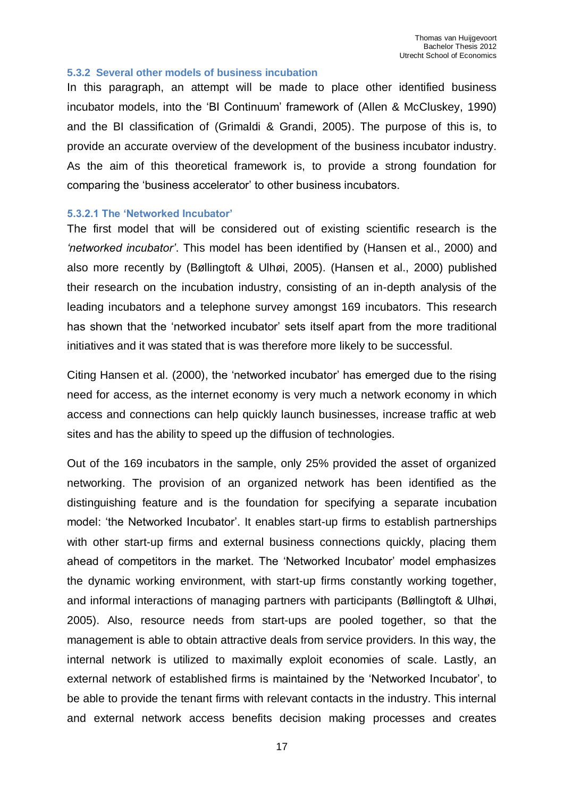#### <span id="page-16-0"></span>**5.3.2 Several other models of business incubation**

In this paragraph, an attempt will be made to place other identified business incubator models, into the 'BI Continuum' framework of (Allen & McCluskey, 1990) and the BI classification of (Grimaldi & Grandi, 2005). The purpose of this is, to provide an accurate overview of the development of the business incubator industry. As the aim of this theoretical framework is, to provide a strong foundation for comparing the 'business accelerator' to other business incubators.

#### <span id="page-16-1"></span>**5.3.2.1 The 'Networked Incubator'**

The first model that will be considered out of existing scientific research is the *'networked incubator'*. This model has been identified by (Hansen et al., 2000) and also more recently by (Bøllingtoft & Ulhøi, 2005). (Hansen et al., 2000) published their research on the incubation industry, consisting of an in-depth analysis of the leading incubators and a telephone survey amongst 169 incubators. This research has shown that the 'networked incubator' sets itself apart from the more traditional initiatives and it was stated that is was therefore more likely to be successful.

Citing Hansen et al. (2000), the 'networked incubator' has emerged due to the rising need for access, as the internet economy is very much a network economy in which access and connections can help quickly launch businesses, increase traffic at web sites and has the ability to speed up the diffusion of technologies.

Out of the 169 incubators in the sample, only 25% provided the asset of organized networking. The provision of an organized network has been identified as the distinguishing feature and is the foundation for specifying a separate incubation model: 'the Networked Incubator'. It enables start-up firms to establish partnerships with other start-up firms and external business connections quickly, placing them ahead of competitors in the market. The 'Networked Incubator' model emphasizes the dynamic working environment, with start-up firms constantly working together, and informal interactions of managing partners with participants (Bøllingtoft & Ulhøi, 2005). Also, resource needs from start-ups are pooled together, so that the management is able to obtain attractive deals from service providers. In this way, the internal network is utilized to maximally exploit economies of scale. Lastly, an external network of established firms is maintained by the 'Networked Incubator', to be able to provide the tenant firms with relevant contacts in the industry. This internal and external network access benefits decision making processes and creates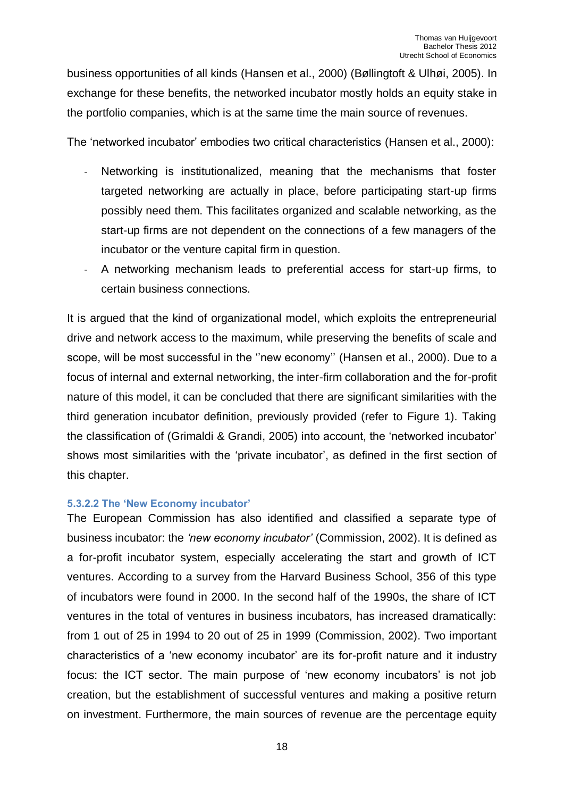business opportunities of all kinds (Hansen et al., 2000) (Bøllingtoft & Ulhøi, 2005). In exchange for these benefits, the networked incubator mostly holds an equity stake in the portfolio companies, which is at the same time the main source of revenues.

The 'networked incubator' embodies two critical characteristics (Hansen et al., 2000):

- Networking is institutionalized, meaning that the mechanisms that foster targeted networking are actually in place, before participating start-up firms possibly need them. This facilitates organized and scalable networking, as the start-up firms are not dependent on the connections of a few managers of the incubator or the venture capital firm in question.
- A networking mechanism leads to preferential access for start-up firms, to certain business connections.

It is argued that the kind of organizational model, which exploits the entrepreneurial drive and network access to the maximum, while preserving the benefits of scale and scope, will be most successful in the ''new economy'' (Hansen et al., 2000). Due to a focus of internal and external networking, the inter-firm collaboration and the for-profit nature of this model, it can be concluded that there are significant similarities with the third generation incubator definition, previously provided (refer to Figure 1). Taking the classification of (Grimaldi & Grandi, 2005) into account, the 'networked incubator' shows most similarities with the 'private incubator', as defined in the first section of this chapter.

#### <span id="page-17-0"></span>**5.3.2.2 The 'New Economy incubator'**

The European Commission has also identified and classified a separate type of business incubator: the *'new economy incubator'* (Commission, 2002). It is defined as a for-profit incubator system, especially accelerating the start and growth of ICT ventures. According to a survey from the Harvard Business School, 356 of this type of incubators were found in 2000. In the second half of the 1990s, the share of ICT ventures in the total of ventures in business incubators, has increased dramatically: from 1 out of 25 in 1994 to 20 out of 25 in 1999 (Commission, 2002). Two important characteristics of a 'new economy incubator' are its for-profit nature and it industry focus: the ICT sector. The main purpose of 'new economy incubators' is not job creation, but the establishment of successful ventures and making a positive return on investment. Furthermore, the main sources of revenue are the percentage equity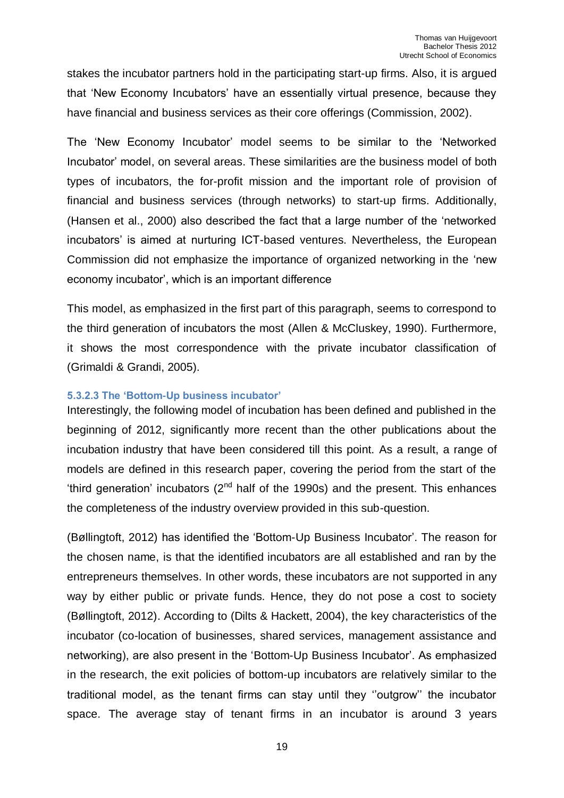stakes the incubator partners hold in the participating start-up firms. Also, it is argued that 'New Economy Incubators' have an essentially virtual presence, because they have financial and business services as their core offerings (Commission, 2002).

The 'New Economy Incubator' model seems to be similar to the 'Networked Incubator' model, on several areas. These similarities are the business model of both types of incubators, the for-profit mission and the important role of provision of financial and business services (through networks) to start-up firms. Additionally, (Hansen et al., 2000) also described the fact that a large number of the 'networked incubators' is aimed at nurturing ICT-based ventures. Nevertheless, the European Commission did not emphasize the importance of organized networking in the 'new economy incubator', which is an important difference

This model, as emphasized in the first part of this paragraph, seems to correspond to the third generation of incubators the most (Allen & McCluskey, 1990). Furthermore, it shows the most correspondence with the private incubator classification of (Grimaldi & Grandi, 2005).

#### <span id="page-18-0"></span>**5.3.2.3 The 'Bottom-Up business incubator'**

Interestingly, the following model of incubation has been defined and published in the beginning of 2012, significantly more recent than the other publications about the incubation industry that have been considered till this point. As a result, a range of models are defined in this research paper, covering the period from the start of the 'third generation' incubators  $(2^{nd}$  half of the 1990s) and the present. This enhances the completeness of the industry overview provided in this sub-question.

(Bøllingtoft, 2012) has identified the 'Bottom-Up Business Incubator'. The reason for the chosen name, is that the identified incubators are all established and ran by the entrepreneurs themselves. In other words, these incubators are not supported in any way by either public or private funds. Hence, they do not pose a cost to society (Bøllingtoft, 2012). According to (Dilts & Hackett, 2004), the key characteristics of the incubator (co-location of businesses, shared services, management assistance and networking), are also present in the 'Bottom-Up Business Incubator'. As emphasized in the research, the exit policies of bottom-up incubators are relatively similar to the traditional model, as the tenant firms can stay until they ''outgrow'' the incubator space. The average stay of tenant firms in an incubator is around 3 years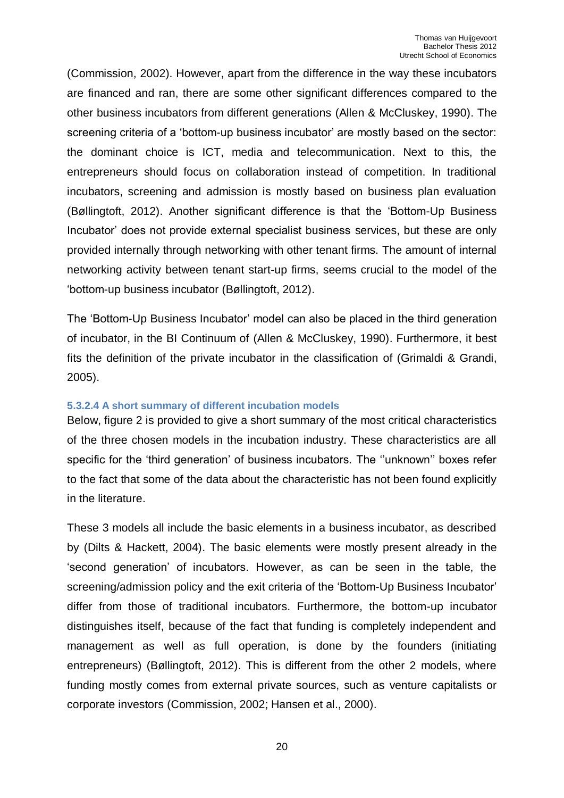(Commission, 2002). However, apart from the difference in the way these incubators are financed and ran, there are some other significant differences compared to the other business incubators from different generations (Allen & McCluskey, 1990). The screening criteria of a 'bottom-up business incubator' are mostly based on the sector: the dominant choice is ICT, media and telecommunication. Next to this, the entrepreneurs should focus on collaboration instead of competition. In traditional incubators, screening and admission is mostly based on business plan evaluation (Bøllingtoft, 2012). Another significant difference is that the 'Bottom-Up Business Incubator' does not provide external specialist business services, but these are only provided internally through networking with other tenant firms. The amount of internal networking activity between tenant start-up firms, seems crucial to the model of the 'bottom-up business incubator (Bøllingtoft, 2012).

The 'Bottom-Up Business Incubator' model can also be placed in the third generation of incubator, in the BI Continuum of (Allen & McCluskey, 1990). Furthermore, it best fits the definition of the private incubator in the classification of (Grimaldi & Grandi, 2005).

#### <span id="page-19-0"></span>**5.3.2.4 A short summary of different incubation models**

Below, figure 2 is provided to give a short summary of the most critical characteristics of the three chosen models in the incubation industry. These characteristics are all specific for the 'third generation' of business incubators. The ''unknown'' boxes refer to the fact that some of the data about the characteristic has not been found explicitly in the literature.

These 3 models all include the basic elements in a business incubator, as described by (Dilts & Hackett, 2004). The basic elements were mostly present already in the 'second generation' of incubators. However, as can be seen in the table, the screening/admission policy and the exit criteria of the 'Bottom-Up Business Incubator' differ from those of traditional incubators. Furthermore, the bottom-up incubator distinguishes itself, because of the fact that funding is completely independent and management as well as full operation, is done by the founders (initiating entrepreneurs) (Bøllingtoft, 2012). This is different from the other 2 models, where funding mostly comes from external private sources, such as venture capitalists or corporate investors (Commission, 2002; Hansen et al., 2000).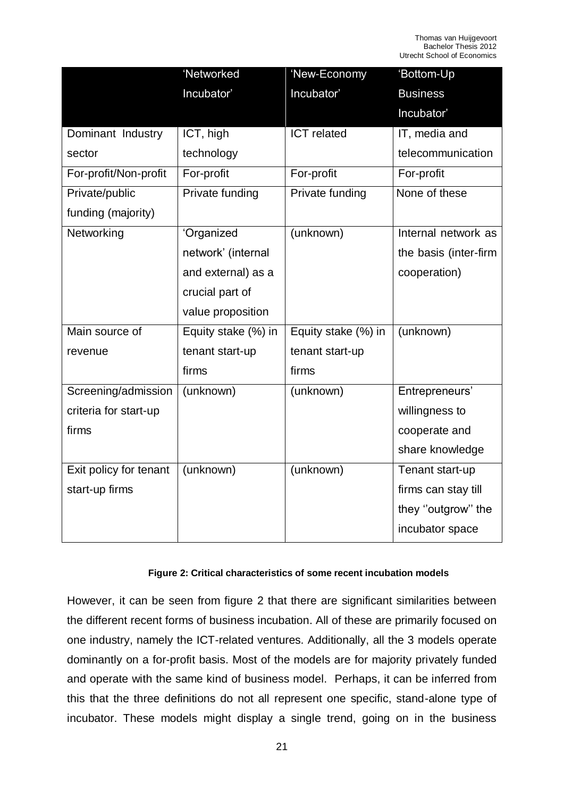|                        | 'Networked          | 'New-Economy        | 'Bottom-Up            |
|------------------------|---------------------|---------------------|-----------------------|
|                        | Incubator'          | Incubator'          | <b>Business</b>       |
|                        |                     |                     | Incubator'            |
| Dominant Industry      | ICT, high           | <b>ICT</b> related  | IT, media and         |
| sector                 | technology          |                     | telecommunication     |
| For-profit/Non-profit  | For-profit          | For-profit          | For-profit            |
| Private/public         | Private funding     | Private funding     | None of these         |
| funding (majority)     |                     |                     |                       |
| Networking             | 'Organized          | (unknown)           | Internal network as   |
|                        | network' (internal  |                     | the basis (inter-firm |
|                        | and external) as a  |                     | cooperation)          |
|                        | crucial part of     |                     |                       |
|                        | value proposition   |                     |                       |
| Main source of         | Equity stake (%) in | Equity stake (%) in | (unknown)             |
| revenue                | tenant start-up     | tenant start-up     |                       |
|                        | firms               | firms               |                       |
| Screening/admission    | (unknown)           | (unknown)           | Entrepreneurs'        |
| criteria for start-up  |                     |                     | willingness to        |
| firms                  |                     |                     | cooperate and         |
|                        |                     |                     | share knowledge       |
| Exit policy for tenant | (unknown)           | (unknown)           | Tenant start-up       |
| start-up firms         |                     |                     | firms can stay till   |
|                        |                     |                     | they "outgrow" the    |
|                        |                     |                     | incubator space       |

#### **Figure 2: Critical characteristics of some recent incubation models**

However, it can be seen from figure 2 that there are significant similarities between the different recent forms of business incubation. All of these are primarily focused on one industry, namely the ICT-related ventures. Additionally, all the 3 models operate dominantly on a for-profit basis. Most of the models are for majority privately funded and operate with the same kind of business model. Perhaps, it can be inferred from this that the three definitions do not all represent one specific, stand-alone type of incubator. These models might display a single trend, going on in the business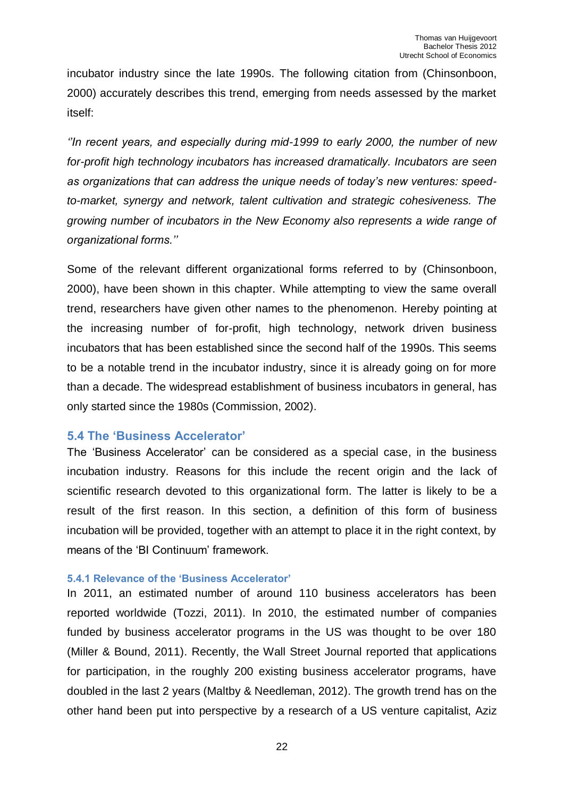incubator industry since the late 1990s. The following citation from (Chinsonboon, 2000) accurately describes this trend, emerging from needs assessed by the market itself:

*''In recent years, and especially during mid-1999 to early 2000, the number of new for-profit high technology incubators has increased dramatically. Incubators are seen as organizations that can address the unique needs of today's new ventures: speedto-market, synergy and network, talent cultivation and strategic cohesiveness. The growing number of incubators in the New Economy also represents a wide range of organizational forms.''*

Some of the relevant different organizational forms referred to by (Chinsonboon, 2000), have been shown in this chapter. While attempting to view the same overall trend, researchers have given other names to the phenomenon. Hereby pointing at the increasing number of for-profit, high technology, network driven business incubators that has been established since the second half of the 1990s. This seems to be a notable trend in the incubator industry, since it is already going on for more than a decade. The widespread establishment of business incubators in general, has only started since the 1980s (Commission, 2002).

#### <span id="page-21-0"></span>**5.4 The 'Business Accelerator'**

The 'Business Accelerator' can be considered as a special case, in the business incubation industry. Reasons for this include the recent origin and the lack of scientific research devoted to this organizational form. The latter is likely to be a result of the first reason. In this section, a definition of this form of business incubation will be provided, together with an attempt to place it in the right context, by means of the 'BI Continuum' framework.

#### <span id="page-21-1"></span>**5.4.1 Relevance of the 'Business Accelerator'**

In 2011, an estimated number of around 110 business accelerators has been reported worldwide (Tozzi, 2011). In 2010, the estimated number of companies funded by business accelerator programs in the US was thought to be over 180 (Miller & Bound, 2011). Recently, the Wall Street Journal reported that applications for participation, in the roughly 200 existing business accelerator programs, have doubled in the last 2 years (Maltby & Needleman, 2012). The growth trend has on the other hand been put into perspective by a research of a US venture capitalist, Aziz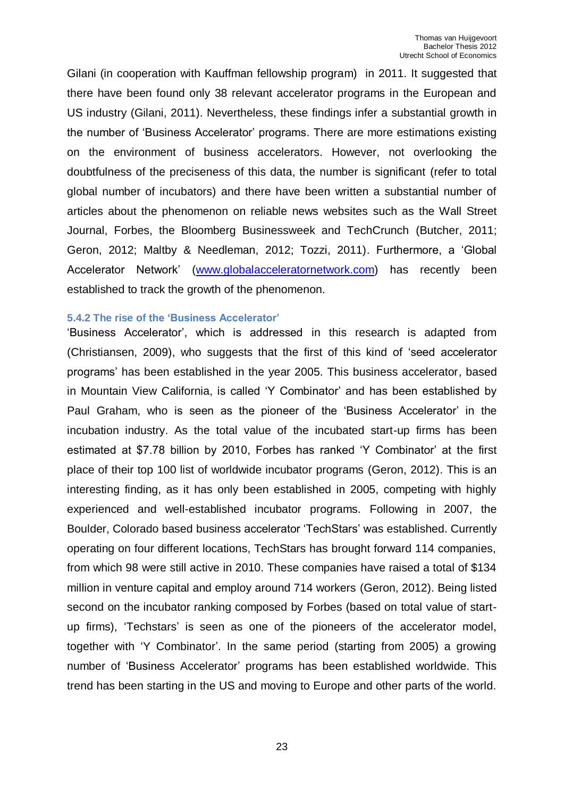Gilani (in cooperation with Kauffman fellowship program) in 2011. It suggested that there have been found only 38 relevant accelerator programs in the European and US industry (Gilani, 2011). Nevertheless, these findings infer a substantial growth in the number of 'Business Accelerator' programs. There are more estimations existing on the environment of business accelerators. However, not overlooking the doubtfulness of the preciseness of this data, the number is significant (refer to total global number of incubators) and there have been written a substantial number of articles about the phenomenon on reliable news websites such as the Wall Street Journal, Forbes, the Bloomberg Businessweek and TechCrunch (Butcher, 2011; Geron, 2012; Maltby & Needleman, 2012; Tozzi, 2011). Furthermore, a 'Global Accelerator Network' [\(www.globalacceleratornetwork.com\)](http://www.globalacceleratornetwork.com/) has recently been established to track the growth of the phenomenon.

#### <span id="page-22-0"></span>**5.4.2 The rise of the 'Business Accelerator'**

'Business Accelerator', which is addressed in this research is adapted from (Christiansen, 2009), who suggests that the first of this kind of 'seed accelerator programs' has been established in the year 2005. This business accelerator, based in Mountain View California, is called 'Y Combinator' and has been established by Paul Graham, who is seen as the pioneer of the 'Business Accelerator' in the incubation industry. As the total value of the incubated start-up firms has been estimated at \$7.78 billion by 2010, Forbes has ranked 'Y Combinator' at the first place of their top 100 list of worldwide incubator programs (Geron, 2012). This is an interesting finding, as it has only been established in 2005, competing with highly experienced and well-established incubator programs. Following in 2007, the Boulder, Colorado based business accelerator 'TechStars' was established. Currently operating on four different locations, TechStars has brought forward 114 companies, from which 98 were still active in 2010. These companies have raised a total of \$134 million in venture capital and employ around 714 workers (Geron, 2012). Being listed second on the incubator ranking composed by Forbes (based on total value of startup firms), 'Techstars' is seen as one of the pioneers of the accelerator model, together with 'Y Combinator'. In the same period (starting from 2005) a growing number of 'Business Accelerator' programs has been established worldwide. This trend has been starting in the US and moving to Europe and other parts of the world.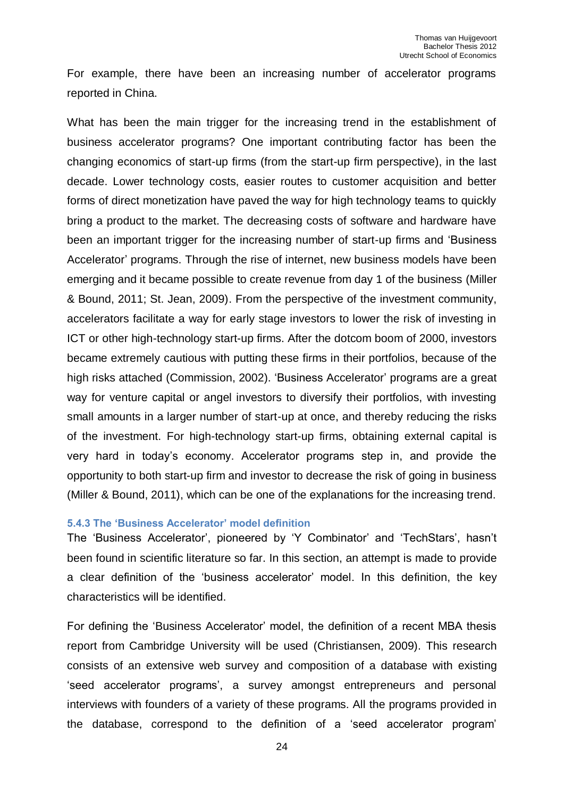For example, there have been an increasing number of accelerator programs reported in China.

What has been the main trigger for the increasing trend in the establishment of business accelerator programs? One important contributing factor has been the changing economics of start-up firms (from the start-up firm perspective), in the last decade. Lower technology costs, easier routes to customer acquisition and better forms of direct monetization have paved the way for high technology teams to quickly bring a product to the market. The decreasing costs of software and hardware have been an important trigger for the increasing number of start-up firms and 'Business Accelerator' programs. Through the rise of internet, new business models have been emerging and it became possible to create revenue from day 1 of the business (Miller & Bound, 2011; St. Jean, 2009). From the perspective of the investment community, accelerators facilitate a way for early stage investors to lower the risk of investing in ICT or other high-technology start-up firms. After the dotcom boom of 2000, investors became extremely cautious with putting these firms in their portfolios, because of the high risks attached (Commission, 2002). 'Business Accelerator' programs are a great way for venture capital or angel investors to diversify their portfolios, with investing small amounts in a larger number of start-up at once, and thereby reducing the risks of the investment. For high-technology start-up firms, obtaining external capital is very hard in today's economy. Accelerator programs step in, and provide the opportunity to both start-up firm and investor to decrease the risk of going in business (Miller & Bound, 2011), which can be one of the explanations for the increasing trend.

#### <span id="page-23-0"></span>**5.4.3 The 'Business Accelerator' model definition**

The 'Business Accelerator', pioneered by 'Y Combinator' and 'TechStars', hasn't been found in scientific literature so far. In this section, an attempt is made to provide a clear definition of the 'business accelerator' model. In this definition, the key characteristics will be identified.

For defining the 'Business Accelerator' model, the definition of a recent MBA thesis report from Cambridge University will be used (Christiansen, 2009). This research consists of an extensive web survey and composition of a database with existing 'seed accelerator programs', a survey amongst entrepreneurs and personal interviews with founders of a variety of these programs. All the programs provided in the database, correspond to the definition of a 'seed accelerator program'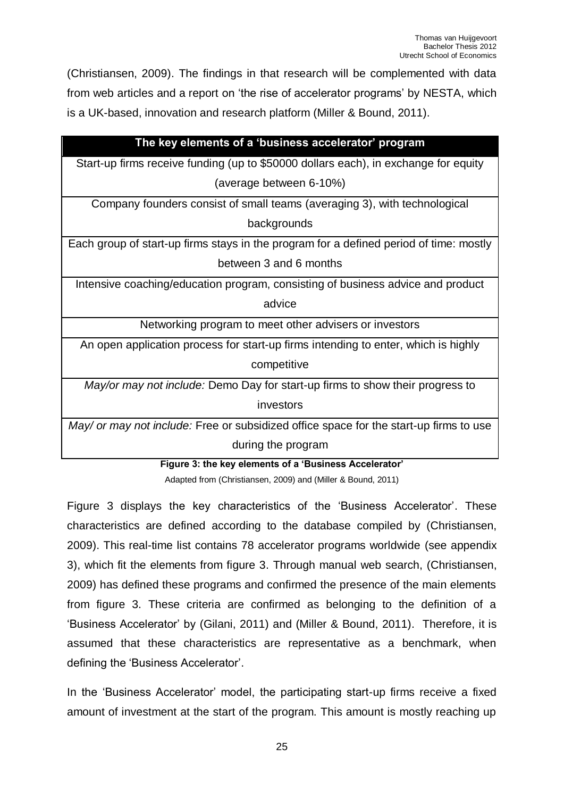(Christiansen, 2009). The findings in that research will be complemented with data from web articles and a report on 'the rise of accelerator programs' by NESTA, which is a UK-based, innovation and research platform (Miller & Bound, 2011).

| The key elements of a 'business accelerator' program                                   |
|----------------------------------------------------------------------------------------|
| Start-up firms receive funding (up to \$50000 dollars each), in exchange for equity    |
| (average between 6-10%)                                                                |
| Company founders consist of small teams (averaging 3), with technological              |
| backgrounds                                                                            |
| Each group of start-up firms stays in the program for a defined period of time: mostly |
| between 3 and 6 months                                                                 |
| Intensive coaching/education program, consisting of business advice and product        |
| advice                                                                                 |
| Networking program to meet other advisers or investors                                 |
| An open application process for start-up firms intending to enter, which is highly     |
| competitive                                                                            |
| May/or may not include: Demo Day for start-up firms to show their progress to          |
| investors                                                                              |
| May/ or may not include: Free or subsidized office space for the start-up firms to use |
| during the program                                                                     |

**Figure 3: the key elements of a 'Business Accelerator'** 

Adapted from (Christiansen, 2009) and (Miller & Bound, 2011)

Figure 3 displays the key characteristics of the 'Business Accelerator'. These characteristics are defined according to the database compiled by (Christiansen, 2009). This real-time list contains 78 accelerator programs worldwide (see appendix 3), which fit the elements from figure 3. Through manual web search, (Christiansen, 2009) has defined these programs and confirmed the presence of the main elements from figure 3. These criteria are confirmed as belonging to the definition of a 'Business Accelerator' by (Gilani, 2011) and (Miller & Bound, 2011). Therefore, it is assumed that these characteristics are representative as a benchmark, when defining the 'Business Accelerator'.

In the 'Business Accelerator' model, the participating start-up firms receive a fixed amount of investment at the start of the program. This amount is mostly reaching up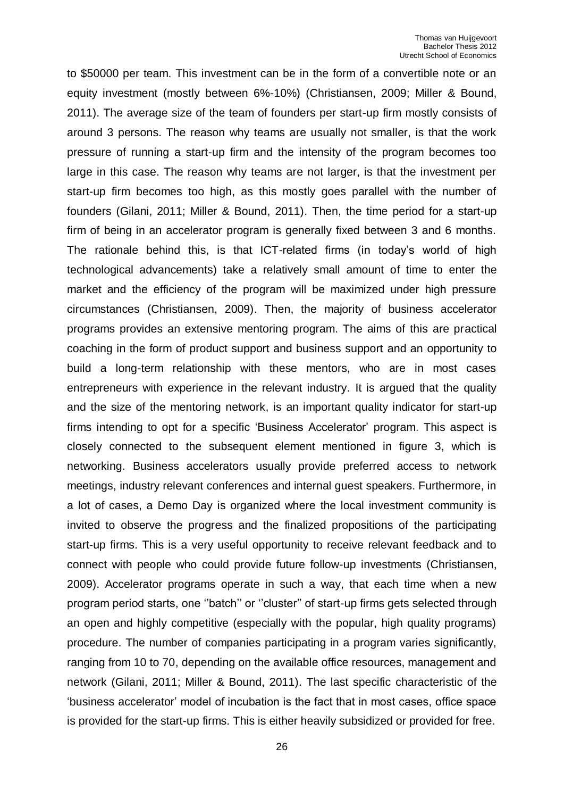to \$50000 per team. This investment can be in the form of a convertible note or an equity investment (mostly between 6%-10%) (Christiansen, 2009; Miller & Bound, 2011). The average size of the team of founders per start-up firm mostly consists of around 3 persons. The reason why teams are usually not smaller, is that the work pressure of running a start-up firm and the intensity of the program becomes too large in this case. The reason why teams are not larger, is that the investment per start-up firm becomes too high, as this mostly goes parallel with the number of founders (Gilani, 2011; Miller & Bound, 2011). Then, the time period for a start-up firm of being in an accelerator program is generally fixed between 3 and 6 months. The rationale behind this, is that ICT-related firms (in today's world of high technological advancements) take a relatively small amount of time to enter the market and the efficiency of the program will be maximized under high pressure circumstances (Christiansen, 2009). Then, the majority of business accelerator programs provides an extensive mentoring program. The aims of this are practical coaching in the form of product support and business support and an opportunity to build a long-term relationship with these mentors, who are in most cases entrepreneurs with experience in the relevant industry. It is argued that the quality and the size of the mentoring network, is an important quality indicator for start-up firms intending to opt for a specific 'Business Accelerator' program. This aspect is closely connected to the subsequent element mentioned in figure 3, which is networking. Business accelerators usually provide preferred access to network meetings, industry relevant conferences and internal guest speakers. Furthermore, in a lot of cases, a Demo Day is organized where the local investment community is invited to observe the progress and the finalized propositions of the participating start-up firms. This is a very useful opportunity to receive relevant feedback and to connect with people who could provide future follow-up investments (Christiansen, 2009). Accelerator programs operate in such a way, that each time when a new program period starts, one ''batch'' or ''cluster'' of start-up firms gets selected through an open and highly competitive (especially with the popular, high quality programs) procedure. The number of companies participating in a program varies significantly, ranging from 10 to 70, depending on the available office resources, management and network (Gilani, 2011; Miller & Bound, 2011). The last specific characteristic of the 'business accelerator' model of incubation is the fact that in most cases, office space is provided for the start-up firms. This is either heavily subsidized or provided for free.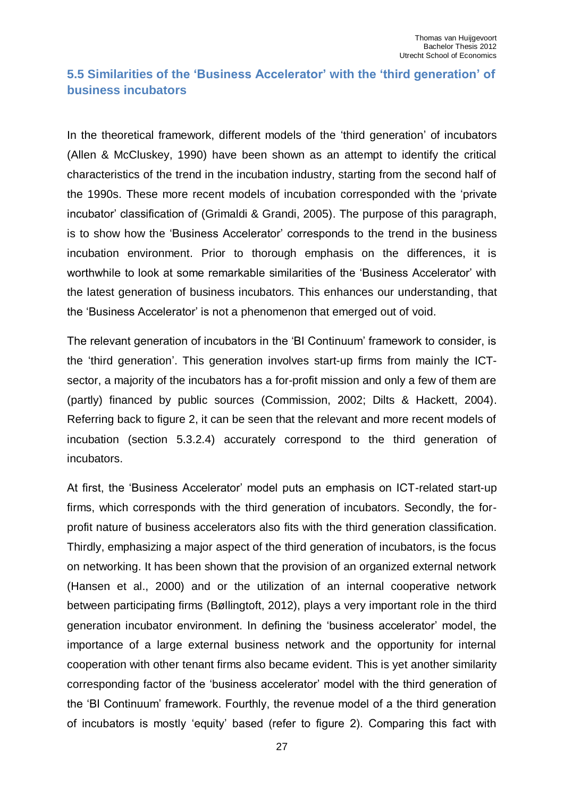# <span id="page-26-0"></span>**5.5 Similarities of the 'Business Accelerator' with the 'third generation' of business incubators**

In the theoretical framework, different models of the 'third generation' of incubators (Allen & McCluskey, 1990) have been shown as an attempt to identify the critical characteristics of the trend in the incubation industry, starting from the second half of the 1990s. These more recent models of incubation corresponded with the 'private incubator' classification of (Grimaldi & Grandi, 2005). The purpose of this paragraph, is to show how the 'Business Accelerator' corresponds to the trend in the business incubation environment. Prior to thorough emphasis on the differences, it is worthwhile to look at some remarkable similarities of the 'Business Accelerator' with the latest generation of business incubators. This enhances our understanding, that the 'Business Accelerator' is not a phenomenon that emerged out of void.

The relevant generation of incubators in the 'BI Continuum' framework to consider, is the 'third generation'. This generation involves start-up firms from mainly the ICTsector, a majority of the incubators has a for-profit mission and only a few of them are (partly) financed by public sources (Commission, 2002; Dilts & Hackett, 2004). Referring back to figure 2, it can be seen that the relevant and more recent models of incubation (section 5.3.2.4) accurately correspond to the third generation of incubators.

At first, the 'Business Accelerator' model puts an emphasis on ICT-related start-up firms, which corresponds with the third generation of incubators. Secondly, the forprofit nature of business accelerators also fits with the third generation classification. Thirdly, emphasizing a major aspect of the third generation of incubators, is the focus on networking. It has been shown that the provision of an organized external network (Hansen et al., 2000) and or the utilization of an internal cooperative network between participating firms (Bøllingtoft, 2012), plays a very important role in the third generation incubator environment. In defining the 'business accelerator' model, the importance of a large external business network and the opportunity for internal cooperation with other tenant firms also became evident. This is yet another similarity corresponding factor of the 'business accelerator' model with the third generation of the 'BI Continuum' framework. Fourthly, the revenue model of a the third generation of incubators is mostly 'equity' based (refer to figure 2). Comparing this fact with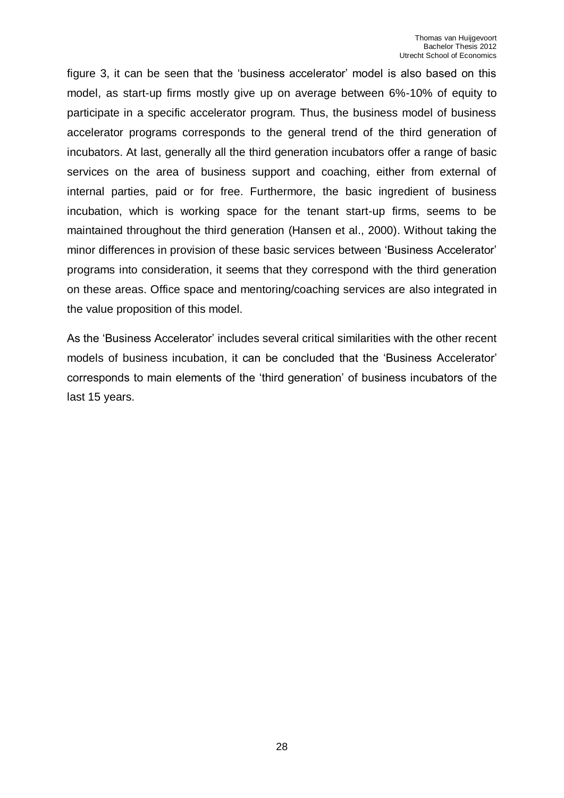figure 3, it can be seen that the 'business accelerator' model is also based on this model, as start-up firms mostly give up on average between 6%-10% of equity to participate in a specific accelerator program. Thus, the business model of business accelerator programs corresponds to the general trend of the third generation of incubators. At last, generally all the third generation incubators offer a range of basic services on the area of business support and coaching, either from external of internal parties, paid or for free. Furthermore, the basic ingredient of business incubation, which is working space for the tenant start-up firms, seems to be maintained throughout the third generation (Hansen et al., 2000). Without taking the minor differences in provision of these basic services between 'Business Accelerator' programs into consideration, it seems that they correspond with the third generation on these areas. Office space and mentoring/coaching services are also integrated in the value proposition of this model.

As the 'Business Accelerator' includes several critical similarities with the other recent models of business incubation, it can be concluded that the 'Business Accelerator' corresponds to main elements of the 'third generation' of business incubators of the last 15 years.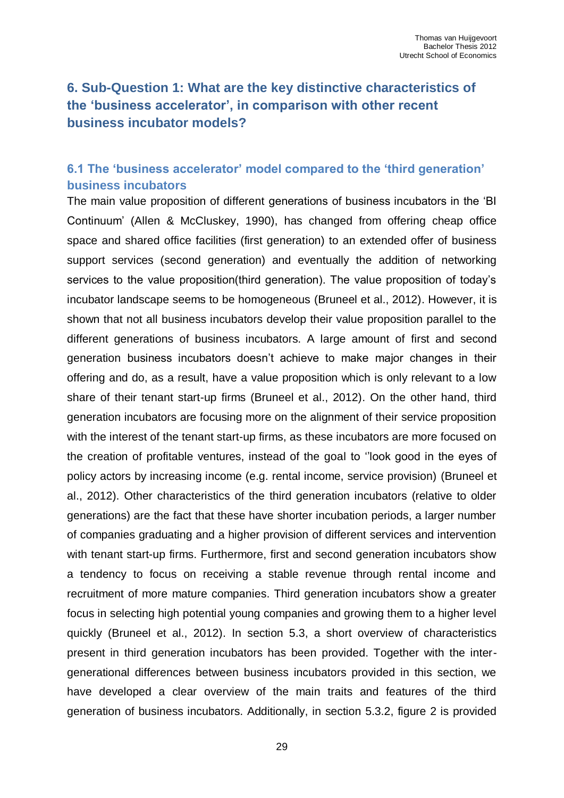# <span id="page-28-0"></span>**6. Sub-Question 1: What are the key distinctive characteristics of the 'business accelerator', in comparison with other recent business incubator models?**

# <span id="page-28-1"></span>**6.1 The 'business accelerator' model compared to the 'third generation' business incubators**

The main value proposition of different generations of business incubators in the 'BI Continuum' (Allen & McCluskey, 1990), has changed from offering cheap office space and shared office facilities (first generation) to an extended offer of business support services (second generation) and eventually the addition of networking services to the value proposition(third generation). The value proposition of today's incubator landscape seems to be homogeneous (Bruneel et al., 2012). However, it is shown that not all business incubators develop their value proposition parallel to the different generations of business incubators. A large amount of first and second generation business incubators doesn't achieve to make major changes in their offering and do, as a result, have a value proposition which is only relevant to a low share of their tenant start-up firms (Bruneel et al., 2012). On the other hand, third generation incubators are focusing more on the alignment of their service proposition with the interest of the tenant start-up firms, as these incubators are more focused on the creation of profitable ventures, instead of the goal to ''look good in the eyes of policy actors by increasing income (e.g. rental income, service provision) (Bruneel et al., 2012). Other characteristics of the third generation incubators (relative to older generations) are the fact that these have shorter incubation periods, a larger number of companies graduating and a higher provision of different services and intervention with tenant start-up firms. Furthermore, first and second generation incubators show a tendency to focus on receiving a stable revenue through rental income and recruitment of more mature companies. Third generation incubators show a greater focus in selecting high potential young companies and growing them to a higher level quickly (Bruneel et al., 2012). In section 5.3, a short overview of characteristics present in third generation incubators has been provided. Together with the intergenerational differences between business incubators provided in this section, we have developed a clear overview of the main traits and features of the third generation of business incubators. Additionally, in section 5.3.2, figure 2 is provided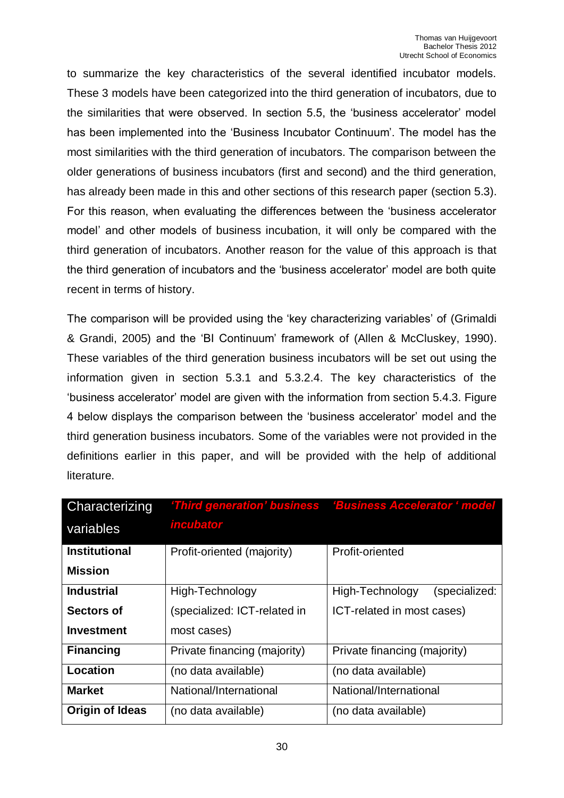to summarize the key characteristics of the several identified incubator models. These 3 models have been categorized into the third generation of incubators, due to the similarities that were observed. In section 5.5, the 'business accelerator' model has been implemented into the 'Business Incubator Continuum'. The model has the most similarities with the third generation of incubators. The comparison between the older generations of business incubators (first and second) and the third generation, has already been made in this and other sections of this research paper (section 5.3). For this reason, when evaluating the differences between the 'business accelerator model' and other models of business incubation, it will only be compared with the third generation of incubators. Another reason for the value of this approach is that the third generation of incubators and the 'business accelerator' model are both quite recent in terms of history.

The comparison will be provided using the 'key characterizing variables' of (Grimaldi & Grandi, 2005) and the 'BI Continuum' framework of (Allen & McCluskey, 1990). These variables of the third generation business incubators will be set out using the information given in section 5.3.1 and 5.3.2.4. The key characteristics of the 'business accelerator' model are given with the information from section 5.4.3. Figure 4 below displays the comparison between the 'business accelerator' model and the third generation business incubators. Some of the variables were not provided in the definitions earlier in this paper, and will be provided with the help of additional literature.

| Characterizing       |                              | 'Third generation' business 'Business Accelerator ' model |
|----------------------|------------------------------|-----------------------------------------------------------|
| variables            | <i><b>incubator</b></i>      |                                                           |
| <b>Institutional</b> | Profit-oriented (majority)   | Profit-oriented                                           |
| <b>Mission</b>       |                              |                                                           |
| <b>Industrial</b>    | High-Technology              | High-Technology<br>(specialized:                          |
| <b>Sectors of</b>    | (specialized: ICT-related in | ICT-related in most cases)                                |
| <b>Investment</b>    | most cases)                  |                                                           |
| <b>Financing</b>     | Private financing (majority) | Private financing (majority)                              |
| Location             | (no data available)          | (no data available)                                       |
| <b>Market</b>        | National/International       | National/International                                    |
| Origin of Ideas      | (no data available)          | (no data available)                                       |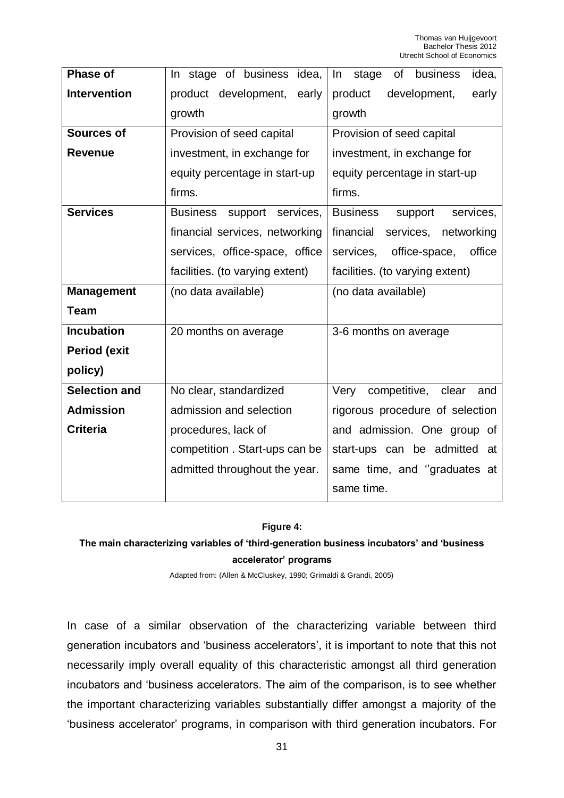| In stage of business idea,           | stage<br>business<br>idea,<br>In<br>of  |  |
|--------------------------------------|-----------------------------------------|--|
| product development,<br>early        | product<br>development,<br>early        |  |
| growth                               | growth                                  |  |
| Provision of seed capital            | Provision of seed capital               |  |
| investment, in exchange for          | investment, in exchange for             |  |
| equity percentage in start-up        | equity percentage in start-up           |  |
| firms.                               | firms.                                  |  |
| <b>Business</b><br>support services, | <b>Business</b><br>services,<br>support |  |
| financial services, networking       | financial<br>services,<br>networking    |  |
| services, office-space, office       | office-space,<br>services,<br>office    |  |
| facilities. (to varying extent)      | facilities. (to varying extent)         |  |
| (no data available)                  | (no data available)                     |  |
|                                      |                                         |  |
| 20 months on average                 | 3-6 months on average                   |  |
|                                      |                                         |  |
|                                      |                                         |  |
| No clear, standardized               | competitive,<br>Very<br>clear<br>and    |  |
| admission and selection              | rigorous procedure of selection         |  |
| procedures, lack of                  | and admission. One group of             |  |
| competition. Start-ups can be        | start-ups can be admitted at            |  |
| admitted throughout the year.        | same time, and "graduates at            |  |
|                                      | same time.                              |  |
|                                      |                                         |  |

#### **Figure 4:**

## **The main characterizing variables of 'third-generation business incubators' and 'business accelerator' programs**

Adapted from: (Allen & McCluskey, 1990; Grimaldi & Grandi, 2005)

In case of a similar observation of the characterizing variable between third generation incubators and 'business accelerators', it is important to note that this not necessarily imply overall equality of this characteristic amongst all third generation incubators and 'business accelerators. The aim of the comparison, is to see whether the important characterizing variables substantially differ amongst a majority of the 'business accelerator' programs, in comparison with third generation incubators. For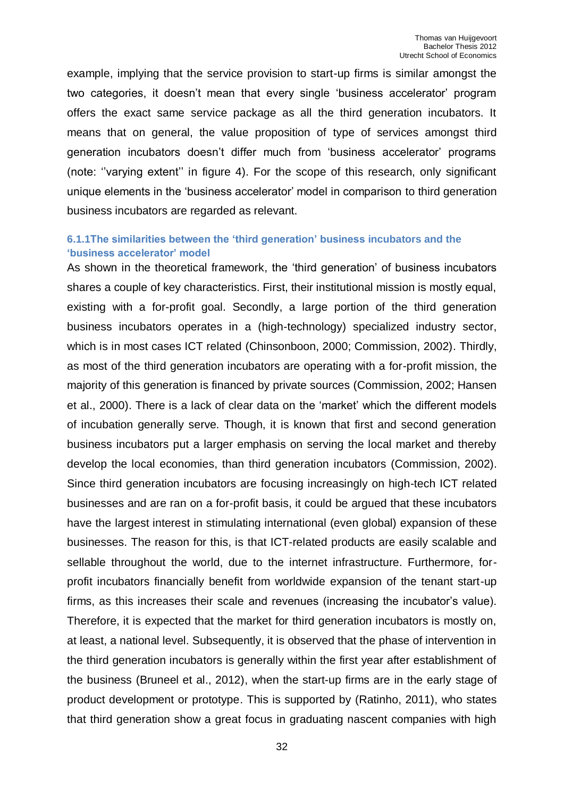example, implying that the service provision to start-up firms is similar amongst the two categories, it doesn't mean that every single 'business accelerator' program offers the exact same service package as all the third generation incubators. It means that on general, the value proposition of type of services amongst third generation incubators doesn't differ much from 'business accelerator' programs (note: ''varying extent'' in figure 4). For the scope of this research, only significant unique elements in the 'business accelerator' model in comparison to third generation business incubators are regarded as relevant.

#### <span id="page-31-0"></span>**6.1.1The similarities between the 'third generation' business incubators and the 'business accelerator' model**

As shown in the theoretical framework, the 'third generation' of business incubators shares a couple of key characteristics. First, their institutional mission is mostly equal, existing with a for-profit goal. Secondly, a large portion of the third generation business incubators operates in a (high-technology) specialized industry sector, which is in most cases ICT related (Chinsonboon, 2000; Commission, 2002). Thirdly, as most of the third generation incubators are operating with a for-profit mission, the majority of this generation is financed by private sources (Commission, 2002; Hansen et al., 2000). There is a lack of clear data on the 'market' which the different models of incubation generally serve. Though, it is known that first and second generation business incubators put a larger emphasis on serving the local market and thereby develop the local economies, than third generation incubators (Commission, 2002). Since third generation incubators are focusing increasingly on high-tech ICT related businesses and are ran on a for-profit basis, it could be argued that these incubators have the largest interest in stimulating international (even global) expansion of these businesses. The reason for this, is that ICT-related products are easily scalable and sellable throughout the world, due to the internet infrastructure. Furthermore, forprofit incubators financially benefit from worldwide expansion of the tenant start-up firms, as this increases their scale and revenues (increasing the incubator's value). Therefore, it is expected that the market for third generation incubators is mostly on, at least, a national level. Subsequently, it is observed that the phase of intervention in the third generation incubators is generally within the first year after establishment of the business (Bruneel et al., 2012), when the start-up firms are in the early stage of product development or prototype. This is supported by (Ratinho, 2011), who states that third generation show a great focus in graduating nascent companies with high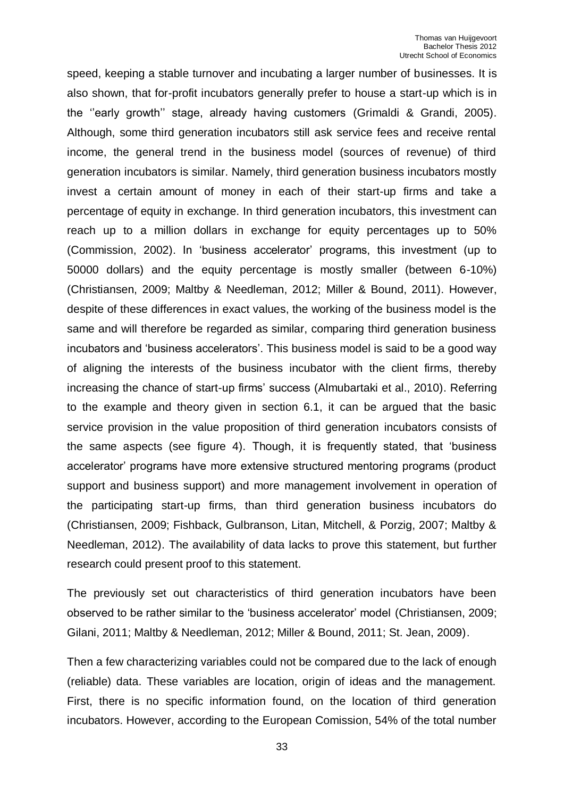speed, keeping a stable turnover and incubating a larger number of businesses. It is also shown, that for-profit incubators generally prefer to house a start-up which is in the ''early growth'' stage, already having customers (Grimaldi & Grandi, 2005). Although, some third generation incubators still ask service fees and receive rental income, the general trend in the business model (sources of revenue) of third generation incubators is similar. Namely, third generation business incubators mostly invest a certain amount of money in each of their start-up firms and take a percentage of equity in exchange. In third generation incubators, this investment can reach up to a million dollars in exchange for equity percentages up to 50% (Commission, 2002). In 'business accelerator' programs, this investment (up to 50000 dollars) and the equity percentage is mostly smaller (between 6-10%) (Christiansen, 2009; Maltby & Needleman, 2012; Miller & Bound, 2011). However, despite of these differences in exact values, the working of the business model is the same and will therefore be regarded as similar, comparing third generation business incubators and 'business accelerators'. This business model is said to be a good way of aligning the interests of the business incubator with the client firms, thereby increasing the chance of start-up firms' success (Almubartaki et al., 2010). Referring to the example and theory given in section 6.1, it can be argued that the basic service provision in the value proposition of third generation incubators consists of the same aspects (see figure 4). Though, it is frequently stated, that 'business accelerator' programs have more extensive structured mentoring programs (product support and business support) and more management involvement in operation of the participating start-up firms, than third generation business incubators do (Christiansen, 2009; Fishback, Gulbranson, Litan, Mitchell, & Porzig, 2007; Maltby & Needleman, 2012). The availability of data lacks to prove this statement, but further research could present proof to this statement.

The previously set out characteristics of third generation incubators have been observed to be rather similar to the 'business accelerator' model (Christiansen, 2009; Gilani, 2011; Maltby & Needleman, 2012; Miller & Bound, 2011; St. Jean, 2009).

Then a few characterizing variables could not be compared due to the lack of enough (reliable) data. These variables are location, origin of ideas and the management. First, there is no specific information found, on the location of third generation incubators. However, according to the European Comission, 54% of the total number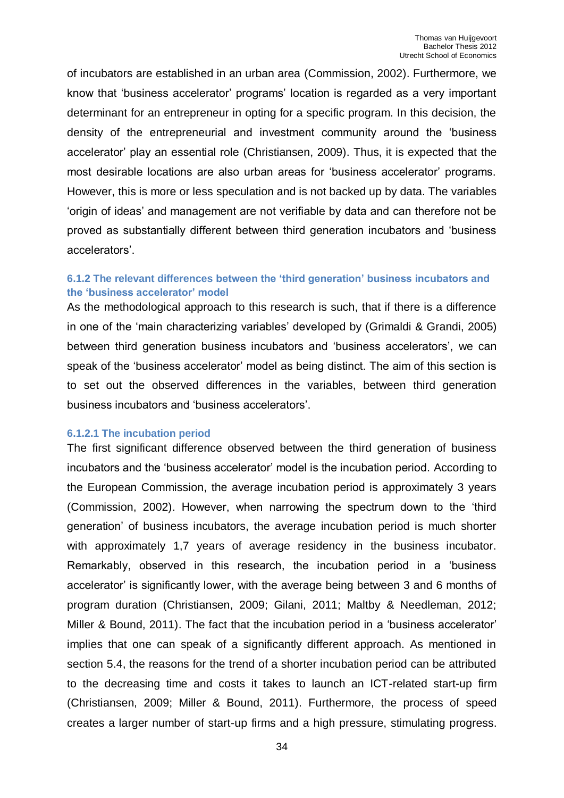of incubators are established in an urban area (Commission, 2002). Furthermore, we know that 'business accelerator' programs' location is regarded as a very important determinant for an entrepreneur in opting for a specific program. In this decision, the density of the entrepreneurial and investment community around the 'business accelerator' play an essential role (Christiansen, 2009). Thus, it is expected that the most desirable locations are also urban areas for 'business accelerator' programs. However, this is more or less speculation and is not backed up by data. The variables 'origin of ideas' and management are not verifiable by data and can therefore not be proved as substantially different between third generation incubators and 'business accelerators'.

#### <span id="page-33-0"></span>**6.1.2 The relevant differences between the 'third generation' business incubators and the 'business accelerator' model**

As the methodological approach to this research is such, that if there is a difference in one of the 'main characterizing variables' developed by (Grimaldi & Grandi, 2005) between third generation business incubators and 'business accelerators', we can speak of the 'business accelerator' model as being distinct. The aim of this section is to set out the observed differences in the variables, between third generation business incubators and 'business accelerators'.

#### <span id="page-33-1"></span>**6.1.2.1 The incubation period**

The first significant difference observed between the third generation of business incubators and the 'business accelerator' model is the incubation period. According to the European Commission, the average incubation period is approximately 3 years (Commission, 2002). However, when narrowing the spectrum down to the 'third generation' of business incubators, the average incubation period is much shorter with approximately 1,7 years of average residency in the business incubator. Remarkably, observed in this research, the incubation period in a 'business accelerator' is significantly lower, with the average being between 3 and 6 months of program duration (Christiansen, 2009; Gilani, 2011; Maltby & Needleman, 2012; Miller & Bound, 2011). The fact that the incubation period in a 'business accelerator' implies that one can speak of a significantly different approach. As mentioned in section 5.4, the reasons for the trend of a shorter incubation period can be attributed to the decreasing time and costs it takes to launch an ICT-related start-up firm (Christiansen, 2009; Miller & Bound, 2011). Furthermore, the process of speed creates a larger number of start-up firms and a high pressure, stimulating progress.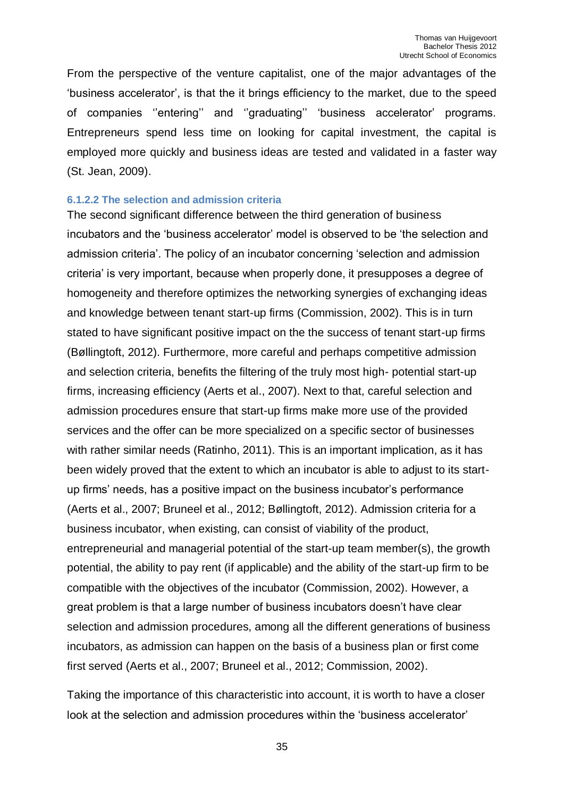From the perspective of the venture capitalist, one of the major advantages of the 'business accelerator', is that the it brings efficiency to the market, due to the speed of companies ''entering'' and ''graduating'' 'business accelerator' programs. Entrepreneurs spend less time on looking for capital investment, the capital is employed more quickly and business ideas are tested and validated in a faster way (St. Jean, 2009).

#### <span id="page-34-0"></span>**6.1.2.2 The selection and admission criteria**

The second significant difference between the third generation of business incubators and the 'business accelerator' model is observed to be 'the selection and admission criteria'. The policy of an incubator concerning 'selection and admission criteria' is very important, because when properly done, it presupposes a degree of homogeneity and therefore optimizes the networking synergies of exchanging ideas and knowledge between tenant start-up firms (Commission, 2002). This is in turn stated to have significant positive impact on the the success of tenant start-up firms (Bøllingtoft, 2012). Furthermore, more careful and perhaps competitive admission and selection criteria, benefits the filtering of the truly most high- potential start-up firms, increasing efficiency (Aerts et al., 2007). Next to that, careful selection and admission procedures ensure that start-up firms make more use of the provided services and the offer can be more specialized on a specific sector of businesses with rather similar needs (Ratinho, 2011). This is an important implication, as it has been widely proved that the extent to which an incubator is able to adjust to its startup firms' needs, has a positive impact on the business incubator's performance (Aerts et al., 2007; Bruneel et al., 2012; Bøllingtoft, 2012). Admission criteria for a business incubator, when existing, can consist of viability of the product, entrepreneurial and managerial potential of the start-up team member(s), the growth potential, the ability to pay rent (if applicable) and the ability of the start-up firm to be compatible with the objectives of the incubator (Commission, 2002). However, a great problem is that a large number of business incubators doesn't have clear selection and admission procedures, among all the different generations of business incubators, as admission can happen on the basis of a business plan or first come first served (Aerts et al., 2007; Bruneel et al., 2012; Commission, 2002).

Taking the importance of this characteristic into account, it is worth to have a closer look at the selection and admission procedures within the 'business accelerator'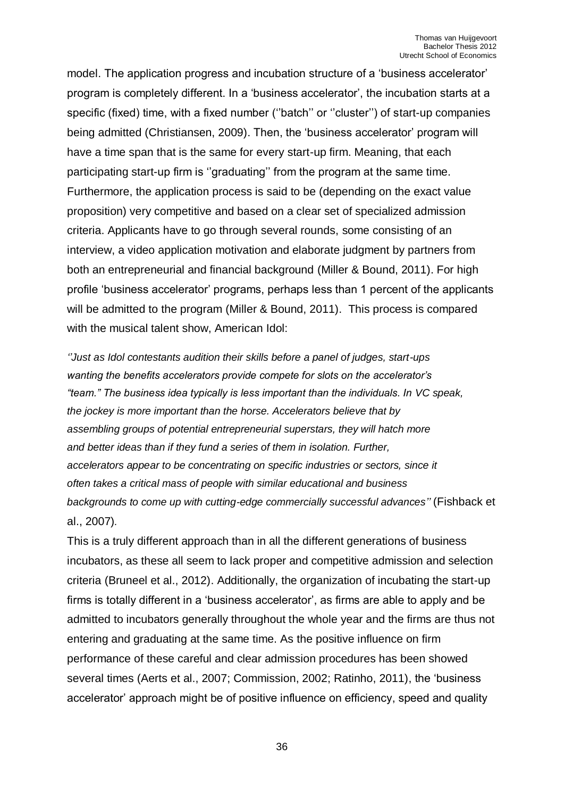model. The application progress and incubation structure of a 'business accelerator' program is completely different. In a 'business accelerator', the incubation starts at a specific (fixed) time, with a fixed number (''batch'' or ''cluster'') of start-up companies being admitted (Christiansen, 2009). Then, the 'business accelerator' program will have a time span that is the same for every start-up firm. Meaning, that each participating start-up firm is ''graduating'' from the program at the same time. Furthermore, the application process is said to be (depending on the exact value proposition) very competitive and based on a clear set of specialized admission criteria. Applicants have to go through several rounds, some consisting of an interview, a video application motivation and elaborate judgment by partners from both an entrepreneurial and financial background (Miller & Bound, 2011). For high profile 'business accelerator' programs, perhaps less than 1 percent of the applicants will be admitted to the program (Miller & Bound, 2011). This process is compared with the musical talent show, American Idol:

*''Just as Idol contestants audition their skills before a panel of judges, start-ups wanting the benefits accelerators provide compete for slots on the accelerator's "team." The business idea typically is less important than the individuals. In VC speak, the jockey is more important than the horse. Accelerators believe that by assembling groups of potential entrepreneurial superstars, they will hatch more and better ideas than if they fund a series of them in isolation. Further, accelerators appear to be concentrating on specific industries or sectors, since it often takes a critical mass of people with similar educational and business backgrounds to come up with cutting-edge commercially successful advances''* (Fishback et al., 2007)*.*

This is a truly different approach than in all the different generations of business incubators, as these all seem to lack proper and competitive admission and selection criteria (Bruneel et al., 2012). Additionally, the organization of incubating the start-up firms is totally different in a 'business accelerator', as firms are able to apply and be admitted to incubators generally throughout the whole year and the firms are thus not entering and graduating at the same time. As the positive influence on firm performance of these careful and clear admission procedures has been showed several times (Aerts et al., 2007; Commission, 2002; Ratinho, 2011), the 'business accelerator' approach might be of positive influence on efficiency, speed and quality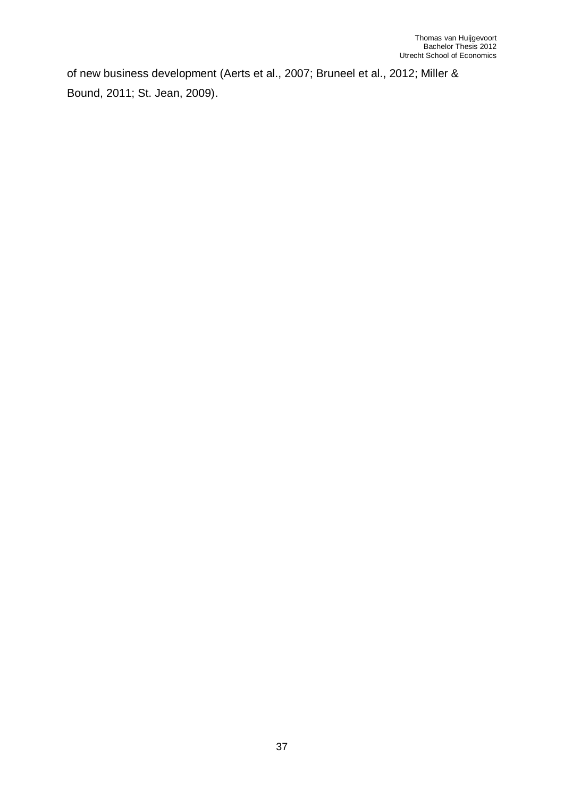of new business development (Aerts et al., 2007; Bruneel et al., 2012; Miller & Bound, 2011; St. Jean, 2009).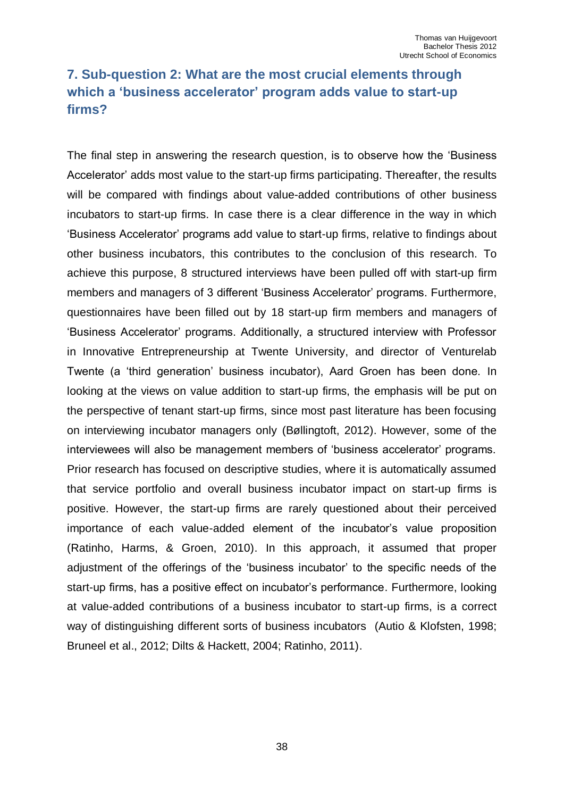# <span id="page-37-0"></span>**7. Sub-question 2: What are the most crucial elements through which a 'business accelerator' program adds value to start-up firms?**

The final step in answering the research question, is to observe how the 'Business Accelerator' adds most value to the start-up firms participating. Thereafter, the results will be compared with findings about value-added contributions of other business incubators to start-up firms. In case there is a clear difference in the way in which 'Business Accelerator' programs add value to start-up firms, relative to findings about other business incubators, this contributes to the conclusion of this research. To achieve this purpose, 8 structured interviews have been pulled off with start-up firm members and managers of 3 different 'Business Accelerator' programs. Furthermore, questionnaires have been filled out by 18 start-up firm members and managers of 'Business Accelerator' programs. Additionally, a structured interview with Professor in Innovative Entrepreneurship at Twente University, and director of Venturelab Twente (a 'third generation' business incubator), Aard Groen has been done. In looking at the views on value addition to start-up firms, the emphasis will be put on the perspective of tenant start-up firms, since most past literature has been focusing on interviewing incubator managers only (Bøllingtoft, 2012). However, some of the interviewees will also be management members of 'business accelerator' programs. Prior research has focused on descriptive studies, where it is automatically assumed that service portfolio and overall business incubator impact on start-up firms is positive. However, the start-up firms are rarely questioned about their perceived importance of each value-added element of the incubator's value proposition (Ratinho, Harms, & Groen, 2010). In this approach, it assumed that proper adjustment of the offerings of the 'business incubator' to the specific needs of the start-up firms, has a positive effect on incubator's performance. Furthermore, looking at value-added contributions of a business incubator to start-up firms, is a correct way of distinguishing different sorts of business incubators (Autio & Klofsten, 1998; Bruneel et al., 2012; Dilts & Hackett, 2004; Ratinho, 2011).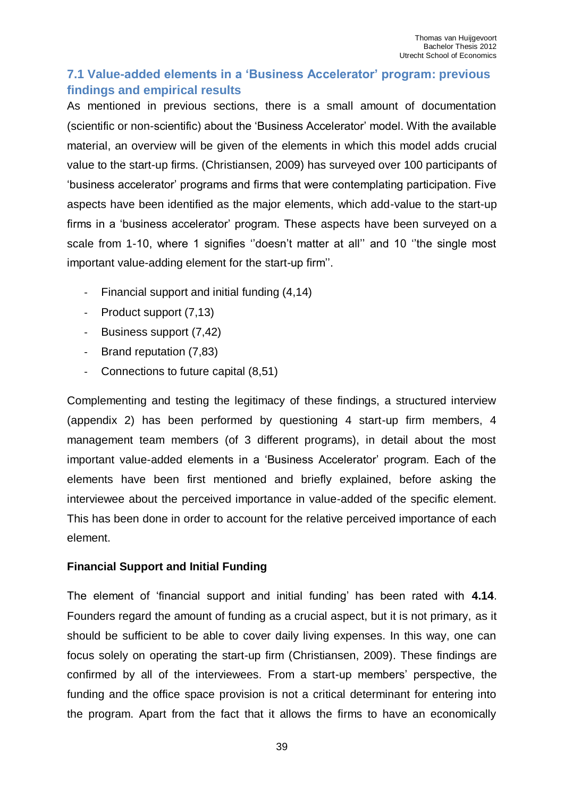# <span id="page-38-0"></span>**7.1 Value-added elements in a 'Business Accelerator' program: previous findings and empirical results**

As mentioned in previous sections, there is a small amount of documentation (scientific or non-scientific) about the 'Business Accelerator' model. With the available material, an overview will be given of the elements in which this model adds crucial value to the start-up firms. (Christiansen, 2009) has surveyed over 100 participants of 'business accelerator' programs and firms that were contemplating participation. Five aspects have been identified as the major elements, which add-value to the start-up firms in a 'business accelerator' program. These aspects have been surveyed on a scale from 1-10, where 1 signifies ''doesn't matter at all'' and 10 ''the single most important value-adding element for the start-up firm''.

- Financial support and initial funding (4,14)
- Product support (7,13)
- Business support (7,42)
- Brand reputation (7,83)
- Connections to future capital (8,51)

Complementing and testing the legitimacy of these findings, a structured interview (appendix 2) has been performed by questioning 4 start-up firm members, 4 management team members (of 3 different programs), in detail about the most important value-added elements in a 'Business Accelerator' program. Each of the elements have been first mentioned and briefly explained, before asking the interviewee about the perceived importance in value-added of the specific element. This has been done in order to account for the relative perceived importance of each element.

## **Financial Support and Initial Funding**

The element of 'financial support and initial funding' has been rated with **4.14**. Founders regard the amount of funding as a crucial aspect, but it is not primary, as it should be sufficient to be able to cover daily living expenses. In this way, one can focus solely on operating the start-up firm (Christiansen, 2009). These findings are confirmed by all of the interviewees. From a start-up members' perspective, the funding and the office space provision is not a critical determinant for entering into the program. Apart from the fact that it allows the firms to have an economically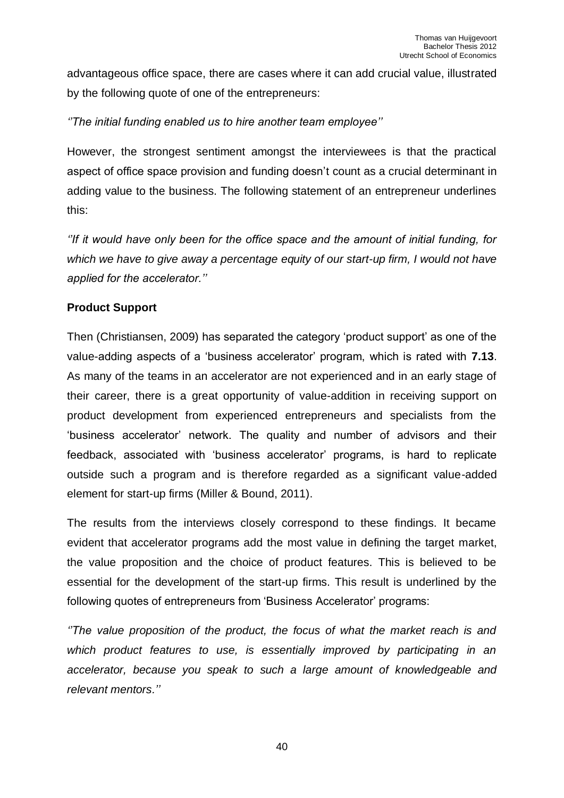advantageous office space, there are cases where it can add crucial value, illustrated by the following quote of one of the entrepreneurs:

### *''The initial funding enabled us to hire another team employee''*

However, the strongest sentiment amongst the interviewees is that the practical aspect of office space provision and funding doesn't count as a crucial determinant in adding value to the business. The following statement of an entrepreneur underlines this:

*''If it would have only been for the office space and the amount of initial funding, for which we have to give away a percentage equity of our start-up firm, I would not have applied for the accelerator.''*

#### **Product Support**

Then (Christiansen, 2009) has separated the category 'product support' as one of the value-adding aspects of a 'business accelerator' program, which is rated with **7.13**. As many of the teams in an accelerator are not experienced and in an early stage of their career, there is a great opportunity of value-addition in receiving support on product development from experienced entrepreneurs and specialists from the 'business accelerator' network. The quality and number of advisors and their feedback, associated with 'business accelerator' programs, is hard to replicate outside such a program and is therefore regarded as a significant value-added element for start-up firms (Miller & Bound, 2011).

The results from the interviews closely correspond to these findings. It became evident that accelerator programs add the most value in defining the target market, the value proposition and the choice of product features. This is believed to be essential for the development of the start-up firms. This result is underlined by the following quotes of entrepreneurs from 'Business Accelerator' programs:

*''The value proposition of the product, the focus of what the market reach is and which product features to use, is essentially improved by participating in an accelerator, because you speak to such a large amount of knowledgeable and relevant mentors.''*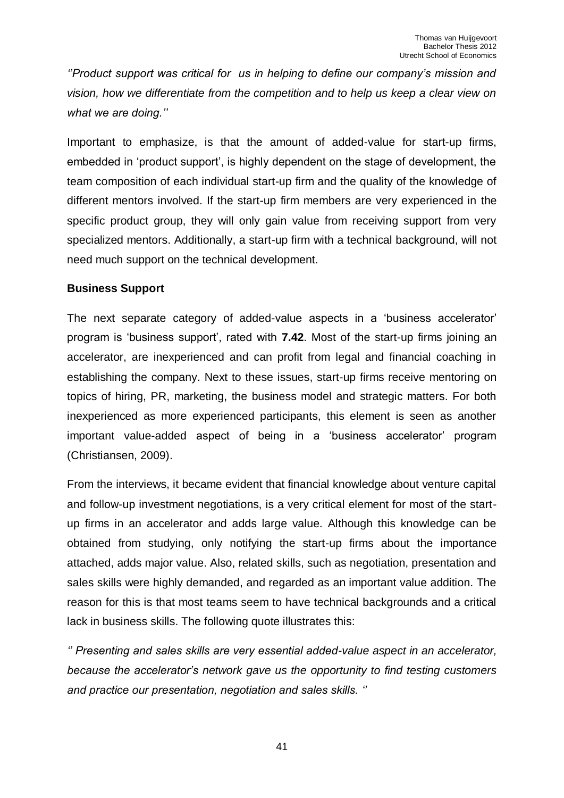*''Product support was critical for us in helping to define our company's mission and vision, how we differentiate from the competition and to help us keep a clear view on what we are doing.''*

Important to emphasize, is that the amount of added-value for start-up firms, embedded in 'product support', is highly dependent on the stage of development, the team composition of each individual start-up firm and the quality of the knowledge of different mentors involved. If the start-up firm members are very experienced in the specific product group, they will only gain value from receiving support from very specialized mentors. Additionally, a start-up firm with a technical background, will not need much support on the technical development.

#### **Business Support**

The next separate category of added-value aspects in a 'business accelerator' program is 'business support', rated with **7.42**. Most of the start-up firms joining an accelerator, are inexperienced and can profit from legal and financial coaching in establishing the company. Next to these issues, start-up firms receive mentoring on topics of hiring, PR, marketing, the business model and strategic matters. For both inexperienced as more experienced participants, this element is seen as another important value-added aspect of being in a 'business accelerator' program (Christiansen, 2009).

From the interviews, it became evident that financial knowledge about venture capital and follow-up investment negotiations, is a very critical element for most of the startup firms in an accelerator and adds large value. Although this knowledge can be obtained from studying, only notifying the start-up firms about the importance attached, adds major value. Also, related skills, such as negotiation, presentation and sales skills were highly demanded, and regarded as an important value addition. The reason for this is that most teams seem to have technical backgrounds and a critical lack in business skills. The following quote illustrates this:

*'' Presenting and sales skills are very essential added-value aspect in an accelerator, because the accelerator's network gave us the opportunity to find testing customers and practice our presentation, negotiation and sales skills. ''*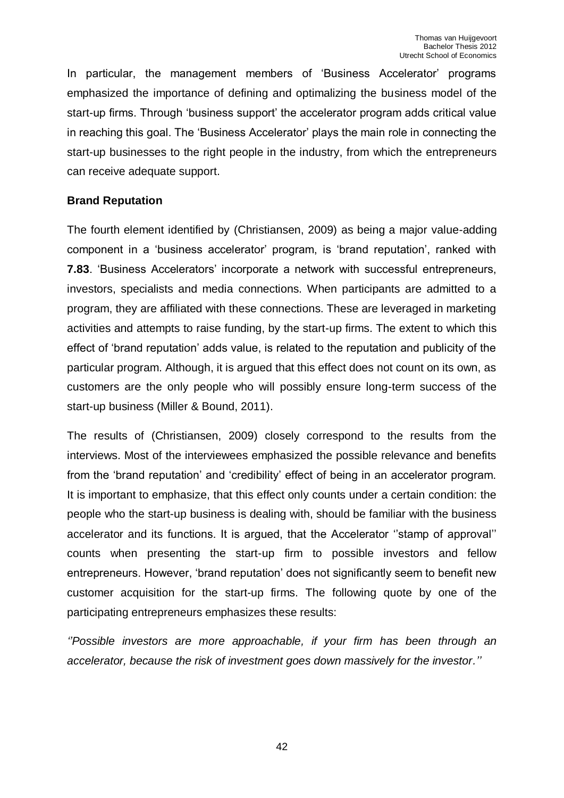In particular, the management members of 'Business Accelerator' programs emphasized the importance of defining and optimalizing the business model of the start-up firms. Through 'business support' the accelerator program adds critical value in reaching this goal. The 'Business Accelerator' plays the main role in connecting the start-up businesses to the right people in the industry, from which the entrepreneurs can receive adequate support.

#### **Brand Reputation**

The fourth element identified by (Christiansen, 2009) as being a major value-adding component in a 'business accelerator' program, is 'brand reputation', ranked with **7.83**. 'Business Accelerators' incorporate a network with successful entrepreneurs, investors, specialists and media connections. When participants are admitted to a program, they are affiliated with these connections. These are leveraged in marketing activities and attempts to raise funding, by the start-up firms. The extent to which this effect of 'brand reputation' adds value, is related to the reputation and publicity of the particular program. Although, it is argued that this effect does not count on its own, as customers are the only people who will possibly ensure long-term success of the start-up business (Miller & Bound, 2011).

The results of (Christiansen, 2009) closely correspond to the results from the interviews. Most of the interviewees emphasized the possible relevance and benefits from the 'brand reputation' and 'credibility' effect of being in an accelerator program. It is important to emphasize, that this effect only counts under a certain condition: the people who the start-up business is dealing with, should be familiar with the business accelerator and its functions. It is argued, that the Accelerator ''stamp of approval'' counts when presenting the start-up firm to possible investors and fellow entrepreneurs. However, 'brand reputation' does not significantly seem to benefit new customer acquisition for the start-up firms. The following quote by one of the participating entrepreneurs emphasizes these results:

*''Possible investors are more approachable, if your firm has been through an accelerator, because the risk of investment goes down massively for the investor.''*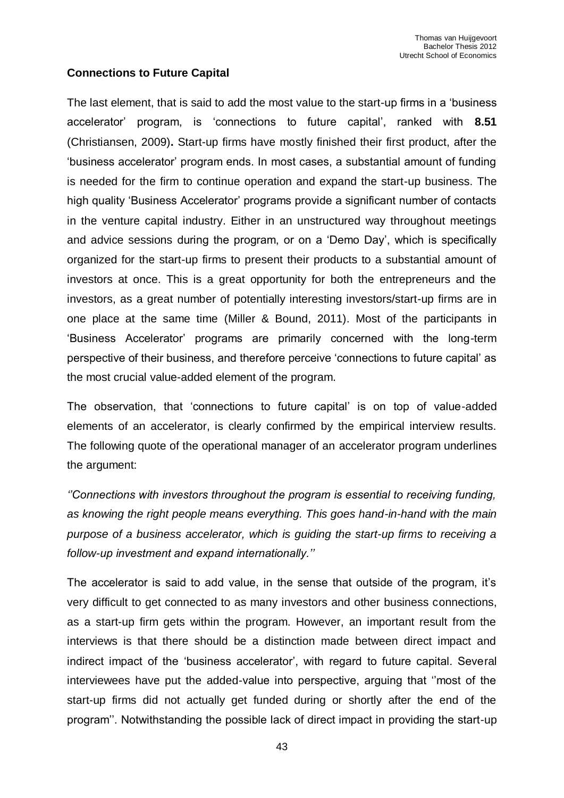#### **Connections to Future Capital**

The last element, that is said to add the most value to the start-up firms in a 'business accelerator' program, is 'connections to future capital', ranked with **8.51** (Christiansen, 2009)**.** Start-up firms have mostly finished their first product, after the 'business accelerator' program ends. In most cases, a substantial amount of funding is needed for the firm to continue operation and expand the start-up business. The high quality 'Business Accelerator' programs provide a significant number of contacts in the venture capital industry. Either in an unstructured way throughout meetings and advice sessions during the program, or on a 'Demo Day', which is specifically organized for the start-up firms to present their products to a substantial amount of investors at once. This is a great opportunity for both the entrepreneurs and the investors, as a great number of potentially interesting investors/start-up firms are in one place at the same time (Miller & Bound, 2011). Most of the participants in 'Business Accelerator' programs are primarily concerned with the long-term perspective of their business, and therefore perceive 'connections to future capital' as the most crucial value-added element of the program.

The observation, that 'connections to future capital' is on top of value-added elements of an accelerator, is clearly confirmed by the empirical interview results. The following quote of the operational manager of an accelerator program underlines the argument:

*''Connections with investors throughout the program is essential to receiving funding, as knowing the right people means everything. This goes hand-in-hand with the main purpose of a business accelerator, which is guiding the start-up firms to receiving a follow-up investment and expand internationally.''* 

The accelerator is said to add value, in the sense that outside of the program, it's very difficult to get connected to as many investors and other business connections, as a start-up firm gets within the program. However, an important result from the interviews is that there should be a distinction made between direct impact and indirect impact of the 'business accelerator', with regard to future capital. Several interviewees have put the added-value into perspective, arguing that ''most of the start-up firms did not actually get funded during or shortly after the end of the program''. Notwithstanding the possible lack of direct impact in providing the start-up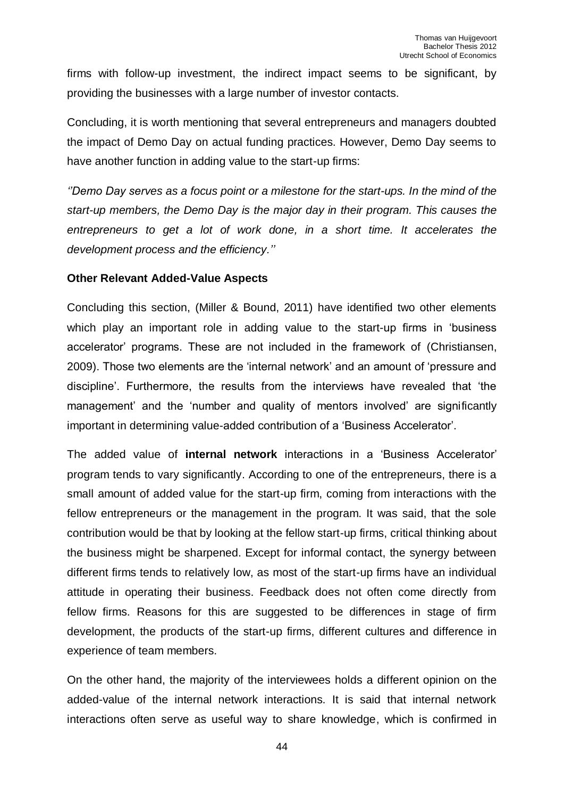firms with follow-up investment, the indirect impact seems to be significant, by providing the businesses with a large number of investor contacts.

Concluding, it is worth mentioning that several entrepreneurs and managers doubted the impact of Demo Day on actual funding practices. However, Demo Day seems to have another function in adding value to the start-up firms:

*''Demo Day serves as a focus point or a milestone for the start-ups. In the mind of the start-up members, the Demo Day is the major day in their program. This causes the entrepreneurs to get a lot of work done, in a short time. It accelerates the development process and the efficiency.''*

#### **Other Relevant Added-Value Aspects**

Concluding this section, (Miller & Bound, 2011) have identified two other elements which play an important role in adding value to the start-up firms in 'business accelerator' programs. These are not included in the framework of (Christiansen, 2009). Those two elements are the 'internal network' and an amount of 'pressure and discipline'. Furthermore, the results from the interviews have revealed that 'the management' and the 'number and quality of mentors involved' are significantly important in determining value-added contribution of a 'Business Accelerator'.

The added value of **internal network** interactions in a 'Business Accelerator' program tends to vary significantly. According to one of the entrepreneurs, there is a small amount of added value for the start-up firm, coming from interactions with the fellow entrepreneurs or the management in the program. It was said, that the sole contribution would be that by looking at the fellow start-up firms, critical thinking about the business might be sharpened. Except for informal contact, the synergy between different firms tends to relatively low, as most of the start-up firms have an individual attitude in operating their business. Feedback does not often come directly from fellow firms. Reasons for this are suggested to be differences in stage of firm development, the products of the start-up firms, different cultures and difference in experience of team members.

On the other hand, the majority of the interviewees holds a different opinion on the added-value of the internal network interactions. It is said that internal network interactions often serve as useful way to share knowledge, which is confirmed in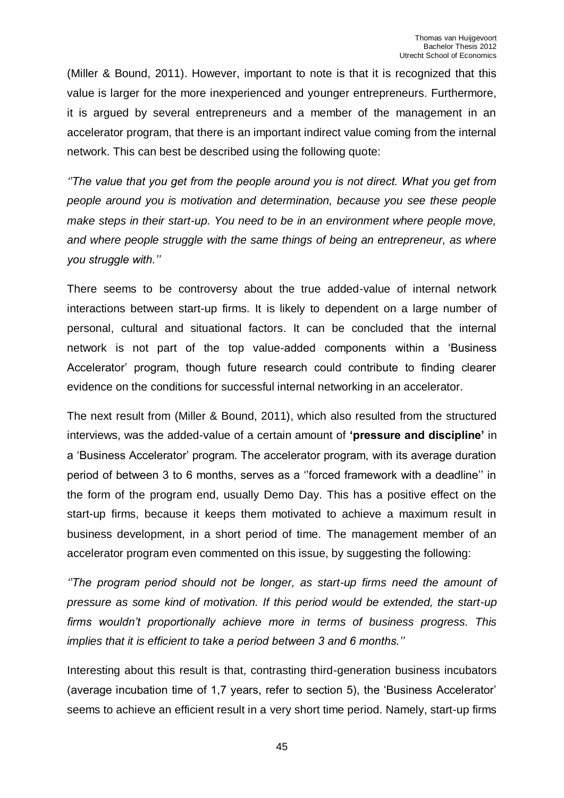(Miller & Bound, 2011). However, important to note is that it is recognized that this value is larger for the more inexperienced and younger entrepreneurs. Furthermore, it is argued by several entrepreneurs and a member of the management in an accelerator program, that there is an important indirect value coming from the internal network. This can best be described using the following quote:

*''The value that you get from the people around you is not direct. What you get from people around you is motivation and determination, because you see these people make steps in their start-up. You need to be in an environment where people move, and where people struggle with the same things of being an entrepreneur, as where you struggle with.''*

There seems to be controversy about the true added-value of internal network interactions between start-up firms. It is likely to dependent on a large number of personal, cultural and situational factors. It can be concluded that the internal network is not part of the top value-added components within a 'Business Accelerator' program, though future research could contribute to finding clearer evidence on the conditions for successful internal networking in an accelerator.

The next result from (Miller & Bound, 2011), which also resulted from the structured interviews, was the added-value of a certain amount of **'pressure and discipline'** in a 'Business Accelerator' program. The accelerator program, with its average duration period of between 3 to 6 months, serves as a ''forced framework with a deadline'' in the form of the program end, usually Demo Day. This has a positive effect on the start-up firms, because it keeps them motivated to achieve a maximum result in business development, in a short period of time. The management member of an accelerator program even commented on this issue, by suggesting the following:

*''The program period should not be longer, as start-up firms need the amount of pressure as some kind of motivation. If this period would be extended, the start-up firms wouldn't proportionally achieve more in terms of business progress. This implies that it is efficient to take a period between 3 and 6 months.''* 

Interesting about this result is that, contrasting third-generation business incubators (average incubation time of 1,7 years, refer to section 5), the 'Business Accelerator' seems to achieve an efficient result in a very short time period. Namely, start-up firms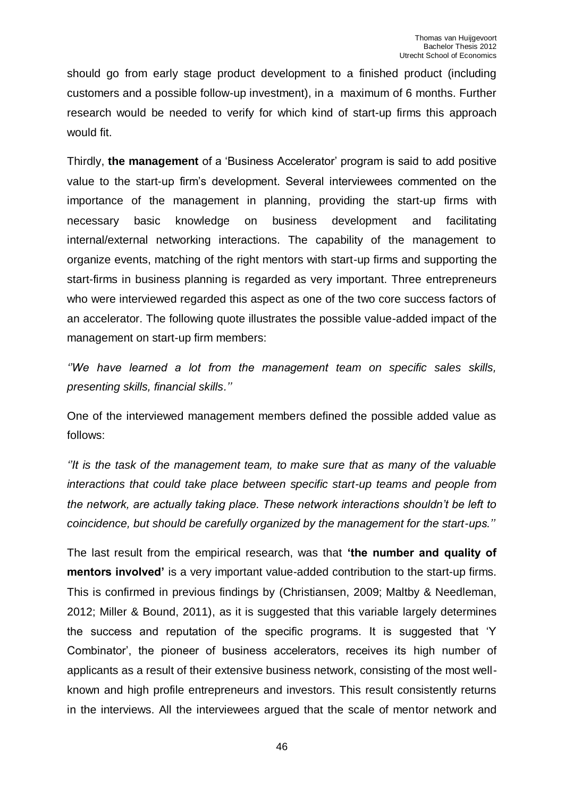should go from early stage product development to a finished product (including customers and a possible follow-up investment), in a maximum of 6 months. Further research would be needed to verify for which kind of start-up firms this approach would fit.

Thirdly, **the management** of a 'Business Accelerator' program is said to add positive value to the start-up firm's development. Several interviewees commented on the importance of the management in planning, providing the start-up firms with necessary basic knowledge on business development and facilitating internal/external networking interactions. The capability of the management to organize events, matching of the right mentors with start-up firms and supporting the start-firms in business planning is regarded as very important. Three entrepreneurs who were interviewed regarded this aspect as one of the two core success factors of an accelerator. The following quote illustrates the possible value-added impact of the management on start-up firm members:

*''We have learned a lot from the management team on specific sales skills, presenting skills, financial skills.''* 

One of the interviewed management members defined the possible added value as follows:

*''It is the task of the management team, to make sure that as many of the valuable interactions that could take place between specific start-up teams and people from the network, are actually taking place. These network interactions shouldn't be left to coincidence, but should be carefully organized by the management for the start-ups.''*

The last result from the empirical research, was that **'the number and quality of mentors involved'** is a very important value-added contribution to the start-up firms. This is confirmed in previous findings by (Christiansen, 2009; Maltby & Needleman, 2012; Miller & Bound, 2011), as it is suggested that this variable largely determines the success and reputation of the specific programs. It is suggested that 'Y Combinator', the pioneer of business accelerators, receives its high number of applicants as a result of their extensive business network, consisting of the most wellknown and high profile entrepreneurs and investors. This result consistently returns in the interviews. All the interviewees argued that the scale of mentor network and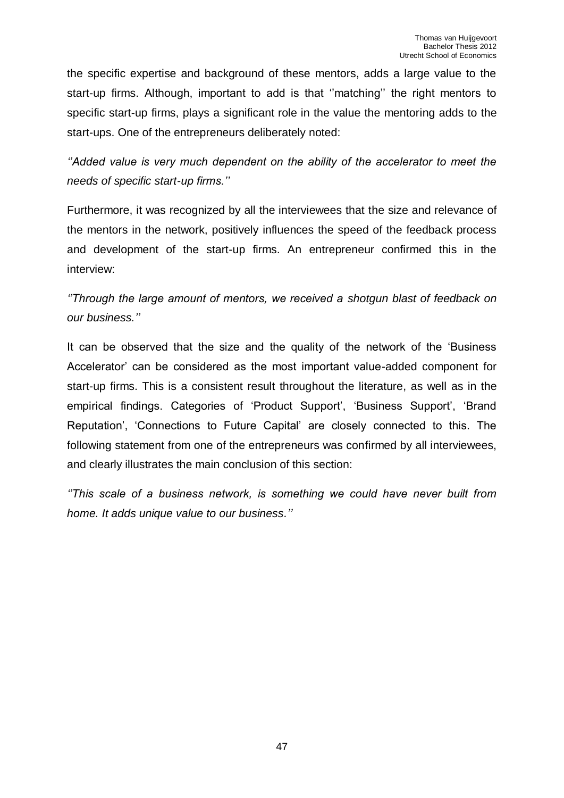the specific expertise and background of these mentors, adds a large value to the start-up firms. Although, important to add is that ''matching'' the right mentors to specific start-up firms, plays a significant role in the value the mentoring adds to the start-ups. One of the entrepreneurs deliberately noted:

*''Added value is very much dependent on the ability of the accelerator to meet the needs of specific start-up firms.''* 

Furthermore, it was recognized by all the interviewees that the size and relevance of the mentors in the network, positively influences the speed of the feedback process and development of the start-up firms. An entrepreneur confirmed this in the interview:

*''Through the large amount of mentors, we received a shotgun blast of feedback on our business.''* 

It can be observed that the size and the quality of the network of the 'Business Accelerator' can be considered as the most important value-added component for start-up firms. This is a consistent result throughout the literature, as well as in the empirical findings. Categories of 'Product Support', 'Business Support', 'Brand Reputation', 'Connections to Future Capital' are closely connected to this. The following statement from one of the entrepreneurs was confirmed by all interviewees, and clearly illustrates the main conclusion of this section:

*''This scale of a business network, is something we could have never built from home. It adds unique value to our business.''*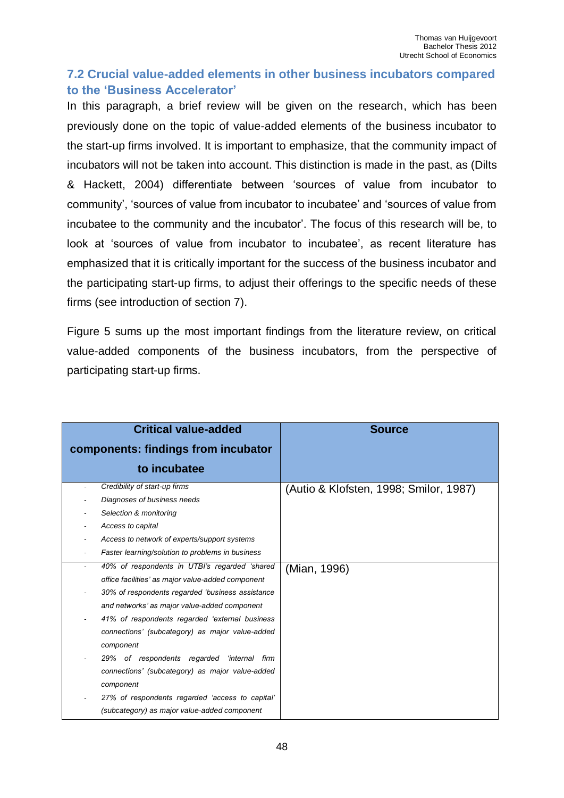# <span id="page-47-0"></span>**7.2 Crucial value-added elements in other business incubators compared to the 'Business Accelerator'**

In this paragraph, a brief review will be given on the research, which has been previously done on the topic of value-added elements of the business incubator to the start-up firms involved. It is important to emphasize, that the community impact of incubators will not be taken into account. This distinction is made in the past, as (Dilts & Hackett, 2004) differentiate between 'sources of value from incubator to community', 'sources of value from incubator to incubatee' and 'sources of value from incubatee to the community and the incubator'. The focus of this research will be, to look at 'sources of value from incubator to incubatee', as recent literature has emphasized that it is critically important for the success of the business incubator and the participating start-up firms, to adjust their offerings to the specific needs of these firms (see introduction of section 7).

Figure 5 sums up the most important findings from the literature review, on critical value-added components of the business incubators, from the perspective of participating start-up firms.

| <b>Critical value-added</b>                       | <b>Source</b>                          |
|---------------------------------------------------|----------------------------------------|
| components: findings from incubator               |                                        |
| to incubatee                                      |                                        |
| Credibility of start-up firms                     | (Autio & Klofsten, 1998; Smilor, 1987) |
| Diagnoses of business needs                       |                                        |
| Selection & monitoring                            |                                        |
| Access to capital                                 |                                        |
| Access to network of experts/support systems      |                                        |
| Faster learning/solution to problems in business  |                                        |
| 40% of respondents in UTBI's regarded 'shared     | (Mian, 1996)                           |
| office facilities' as major value-added component |                                        |
| 30% of respondents regarded 'business assistance  |                                        |
| and networks' as major value-added component      |                                        |
| 41% of respondents regarded 'external business    |                                        |
| connections' (subcategory) as major value-added   |                                        |
| component                                         |                                        |
| 29% of respondents regarded 'internal firm        |                                        |
| connections' (subcategory) as major value-added   |                                        |
| component                                         |                                        |
| 27% of respondents regarded 'access to capital'   |                                        |
| (subcategory) as major value-added component      |                                        |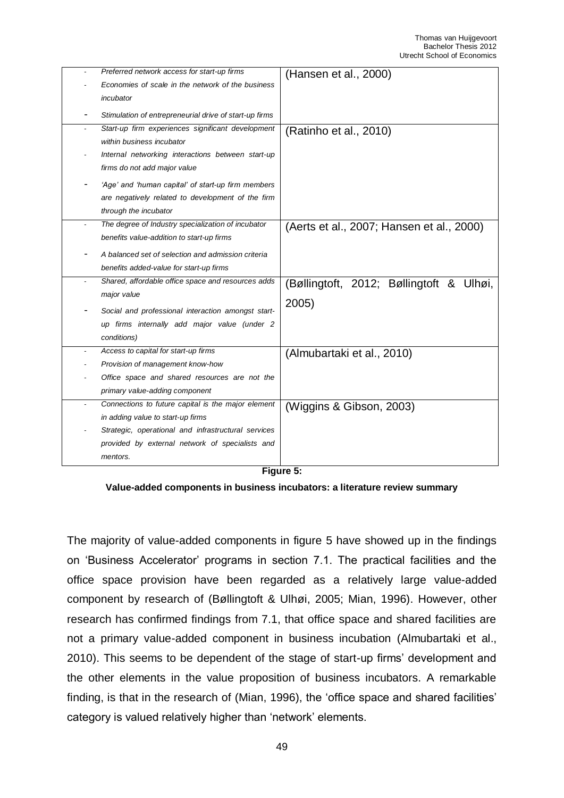|                          | Preferred network access for start-up firms<br>Economies of scale in the network of the business | (Hansen et al., 2000)                     |
|--------------------------|--------------------------------------------------------------------------------------------------|-------------------------------------------|
|                          | incubator<br>Stimulation of entrepreneurial drive of start-up firms                              |                                           |
|                          | Start-up firm experiences significant development                                                | (Ratinho et al., 2010)                    |
|                          | within business incubator                                                                        |                                           |
|                          | Internal networking interactions between start-up                                                |                                           |
|                          | firms do not add major value                                                                     |                                           |
|                          | 'Age' and 'human capital' of start-up firm members                                               |                                           |
|                          | are negatively related to development of the firm                                                |                                           |
|                          | through the incubator                                                                            |                                           |
|                          | The degree of Industry specialization of incubator                                               | (Aerts et al., 2007; Hansen et al., 2000) |
|                          | benefits value-addition to start-up firms                                                        |                                           |
|                          | A balanced set of selection and admission criteria                                               |                                           |
|                          | benefits added-value for start-up firms                                                          |                                           |
|                          | Shared, affordable office space and resources adds                                               | (Bøllingtoft, 2012; Bøllingtoft & Ulhøi,  |
|                          | major value                                                                                      |                                           |
|                          | Social and professional interaction amongst start-                                               | 2005)                                     |
|                          | up firms internally add major value (under 2                                                     |                                           |
|                          | conditions)                                                                                      |                                           |
|                          | Access to capital for start-up firms                                                             | (Almubartaki et al., 2010)                |
|                          | Provision of management know-how                                                                 |                                           |
|                          | Office space and shared resources are not the                                                    |                                           |
|                          | primary value-adding component                                                                   |                                           |
| $\overline{\phantom{a}}$ | Connections to future capital is the major element                                               | (Wiggins & Gibson, 2003)                  |
|                          | in adding value to start-up firms                                                                |                                           |
|                          | Strategic, operational and infrastructural services                                              |                                           |
|                          | provided by external network of specialists and                                                  |                                           |
|                          | mentors.                                                                                         |                                           |
|                          | с:                                                                                               |                                           |

**Figure 5:**

**Value-added components in business incubators: a literature review summary**

The majority of value-added components in figure 5 have showed up in the findings on 'Business Accelerator' programs in section 7.1. The practical facilities and the office space provision have been regarded as a relatively large value-added component by research of (Bøllingtoft & Ulhøi, 2005; Mian, 1996). However, other research has confirmed findings from 7.1, that office space and shared facilities are not a primary value-added component in business incubation (Almubartaki et al., 2010). This seems to be dependent of the stage of start-up firms' development and the other elements in the value proposition of business incubators. A remarkable finding, is that in the research of (Mian, 1996), the 'office space and shared facilities' category is valued relatively higher than 'network' elements.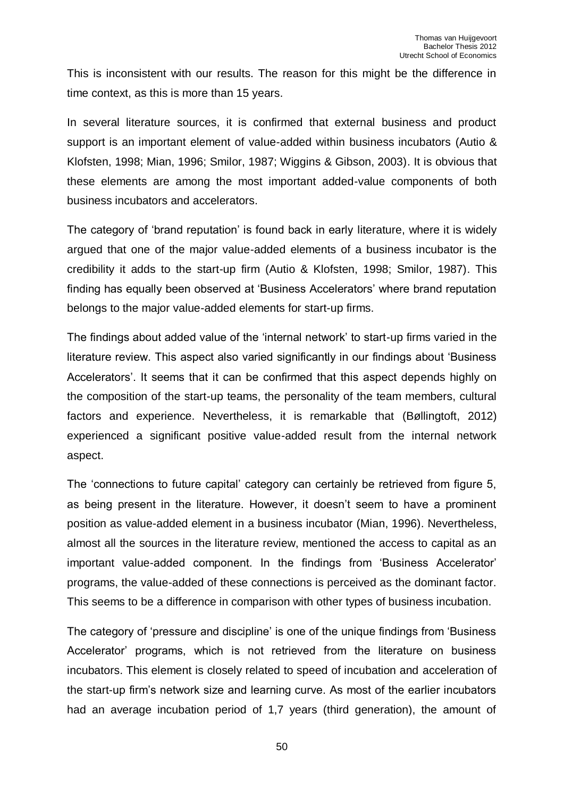This is inconsistent with our results. The reason for this might be the difference in time context, as this is more than 15 years.

In several literature sources, it is confirmed that external business and product support is an important element of value-added within business incubators (Autio & Klofsten, 1998; Mian, 1996; Smilor, 1987; Wiggins & Gibson, 2003). It is obvious that these elements are among the most important added-value components of both business incubators and accelerators.

The category of 'brand reputation' is found back in early literature, where it is widely argued that one of the major value-added elements of a business incubator is the credibility it adds to the start-up firm (Autio & Klofsten, 1998; Smilor, 1987). This finding has equally been observed at 'Business Accelerators' where brand reputation belongs to the major value-added elements for start-up firms.

The findings about added value of the 'internal network' to start-up firms varied in the literature review. This aspect also varied significantly in our findings about 'Business Accelerators'. It seems that it can be confirmed that this aspect depends highly on the composition of the start-up teams, the personality of the team members, cultural factors and experience. Nevertheless, it is remarkable that (Bøllingtoft, 2012) experienced a significant positive value-added result from the internal network aspect.

The 'connections to future capital' category can certainly be retrieved from figure 5, as being present in the literature. However, it doesn't seem to have a prominent position as value-added element in a business incubator (Mian, 1996). Nevertheless, almost all the sources in the literature review, mentioned the access to capital as an important value-added component. In the findings from 'Business Accelerator' programs, the value-added of these connections is perceived as the dominant factor. This seems to be a difference in comparison with other types of business incubation.

The category of 'pressure and discipline' is one of the unique findings from 'Business Accelerator' programs, which is not retrieved from the literature on business incubators. This element is closely related to speed of incubation and acceleration of the start-up firm's network size and learning curve. As most of the earlier incubators had an average incubation period of 1,7 years (third generation), the amount of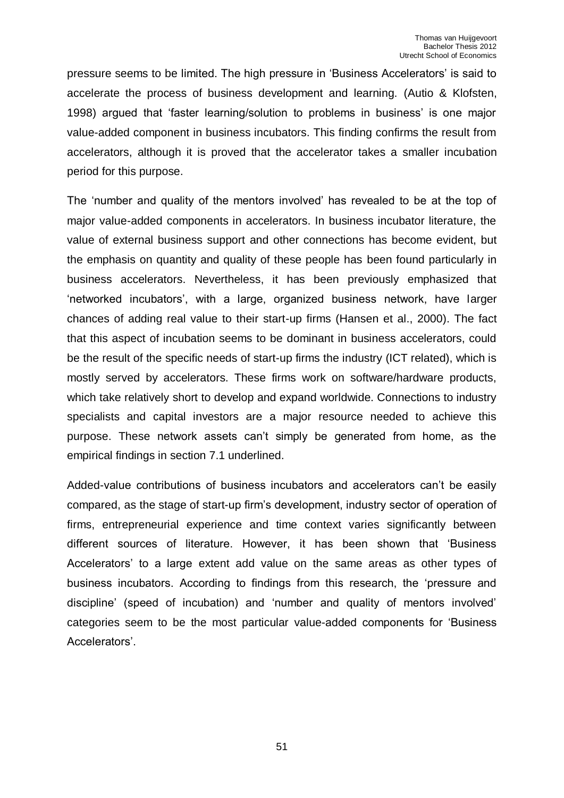pressure seems to be limited. The high pressure in 'Business Accelerators' is said to accelerate the process of business development and learning. (Autio & Klofsten, 1998) argued that 'faster learning/solution to problems in business' is one major value-added component in business incubators. This finding confirms the result from accelerators, although it is proved that the accelerator takes a smaller incubation period for this purpose.

The 'number and quality of the mentors involved' has revealed to be at the top of major value-added components in accelerators. In business incubator literature, the value of external business support and other connections has become evident, but the emphasis on quantity and quality of these people has been found particularly in business accelerators. Nevertheless, it has been previously emphasized that 'networked incubators', with a large, organized business network, have larger chances of adding real value to their start-up firms (Hansen et al., 2000). The fact that this aspect of incubation seems to be dominant in business accelerators, could be the result of the specific needs of start-up firms the industry (ICT related), which is mostly served by accelerators. These firms work on software/hardware products, which take relatively short to develop and expand worldwide. Connections to industry specialists and capital investors are a major resource needed to achieve this purpose. These network assets can't simply be generated from home, as the empirical findings in section 7.1 underlined.

Added-value contributions of business incubators and accelerators can't be easily compared, as the stage of start-up firm's development, industry sector of operation of firms, entrepreneurial experience and time context varies significantly between different sources of literature. However, it has been shown that 'Business Accelerators' to a large extent add value on the same areas as other types of business incubators. According to findings from this research, the 'pressure and discipline' (speed of incubation) and 'number and quality of mentors involved' categories seem to be the most particular value-added components for 'Business Accelerators'.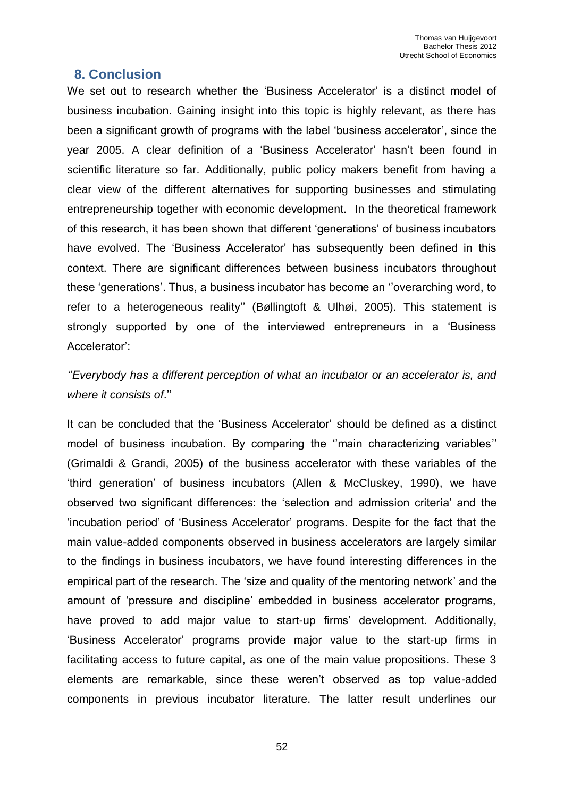### <span id="page-51-0"></span> **8. Conclusion**

We set out to research whether the 'Business Accelerator' is a distinct model of business incubation. Gaining insight into this topic is highly relevant, as there has been a significant growth of programs with the label 'business accelerator', since the year 2005. A clear definition of a 'Business Accelerator' hasn't been found in scientific literature so far. Additionally, public policy makers benefit from having a clear view of the different alternatives for supporting businesses and stimulating entrepreneurship together with economic development. In the theoretical framework of this research, it has been shown that different 'generations' of business incubators have evolved. The 'Business Accelerator' has subsequently been defined in this context. There are significant differences between business incubators throughout these 'generations'. Thus, a business incubator has become an ''overarching word, to refer to a heterogeneous reality'' (Bøllingtoft & Ulhøi, 2005). This statement is strongly supported by one of the interviewed entrepreneurs in a 'Business Accelerator':

*''Everybody has a different perception of what an incubator or an accelerator is, and where it consists of*.''

It can be concluded that the 'Business Accelerator' should be defined as a distinct model of business incubation. By comparing the ''main characterizing variables'' (Grimaldi & Grandi, 2005) of the business accelerator with these variables of the 'third generation' of business incubators (Allen & McCluskey, 1990), we have observed two significant differences: the 'selection and admission criteria' and the 'incubation period' of 'Business Accelerator' programs. Despite for the fact that the main value-added components observed in business accelerators are largely similar to the findings in business incubators, we have found interesting differences in the empirical part of the research. The 'size and quality of the mentoring network' and the amount of 'pressure and discipline' embedded in business accelerator programs, have proved to add major value to start-up firms' development. Additionally, 'Business Accelerator' programs provide major value to the start-up firms in facilitating access to future capital, as one of the main value propositions. These 3 elements are remarkable, since these weren't observed as top value-added components in previous incubator literature. The latter result underlines our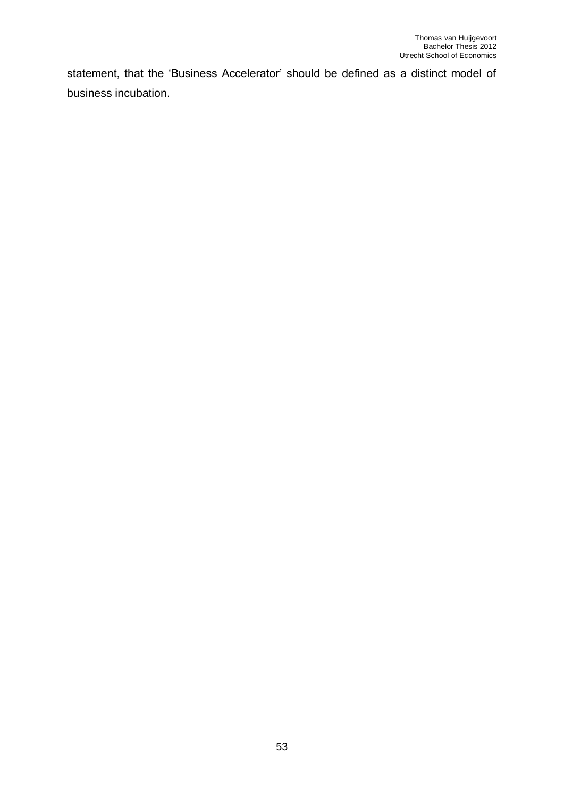statement, that the 'Business Accelerator' should be defined as a distinct model of business incubation.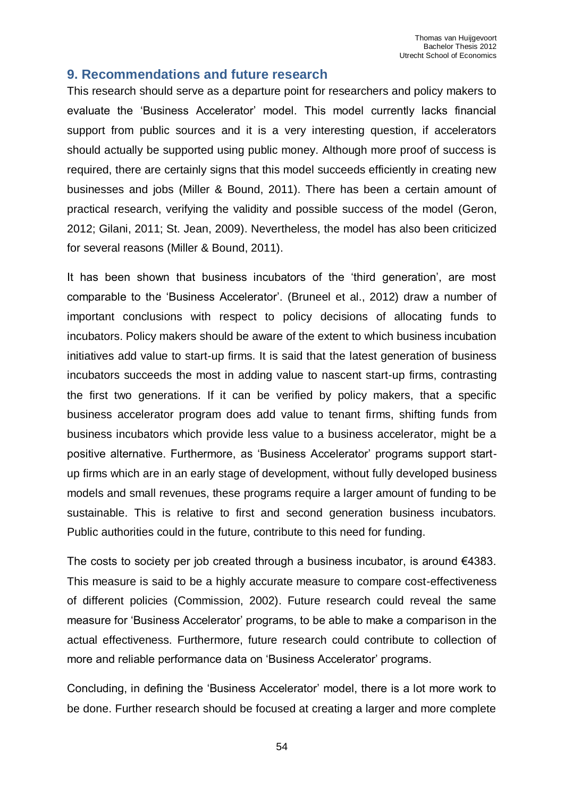## <span id="page-53-0"></span>**9. Recommendations and future research**

This research should serve as a departure point for researchers and policy makers to evaluate the 'Business Accelerator' model. This model currently lacks financial support from public sources and it is a very interesting question, if accelerators should actually be supported using public money. Although more proof of success is required, there are certainly signs that this model succeeds efficiently in creating new businesses and jobs (Miller & Bound, 2011). There has been a certain amount of practical research, verifying the validity and possible success of the model (Geron, 2012; Gilani, 2011; St. Jean, 2009). Nevertheless, the model has also been criticized for several reasons (Miller & Bound, 2011).

It has been shown that business incubators of the 'third generation', are most comparable to the 'Business Accelerator'. (Bruneel et al., 2012) draw a number of important conclusions with respect to policy decisions of allocating funds to incubators. Policy makers should be aware of the extent to which business incubation initiatives add value to start-up firms. It is said that the latest generation of business incubators succeeds the most in adding value to nascent start-up firms, contrasting the first two generations. If it can be verified by policy makers, that a specific business accelerator program does add value to tenant firms, shifting funds from business incubators which provide less value to a business accelerator, might be a positive alternative. Furthermore, as 'Business Accelerator' programs support startup firms which are in an early stage of development, without fully developed business models and small revenues, these programs require a larger amount of funding to be sustainable. This is relative to first and second generation business incubators. Public authorities could in the future, contribute to this need for funding.

The costs to society per job created through a business incubator, is around  $€4383$ . This measure is said to be a highly accurate measure to compare cost-effectiveness of different policies (Commission, 2002). Future research could reveal the same measure for 'Business Accelerator' programs, to be able to make a comparison in the actual effectiveness. Furthermore, future research could contribute to collection of more and reliable performance data on 'Business Accelerator' programs.

Concluding, in defining the 'Business Accelerator' model, there is a lot more work to be done. Further research should be focused at creating a larger and more complete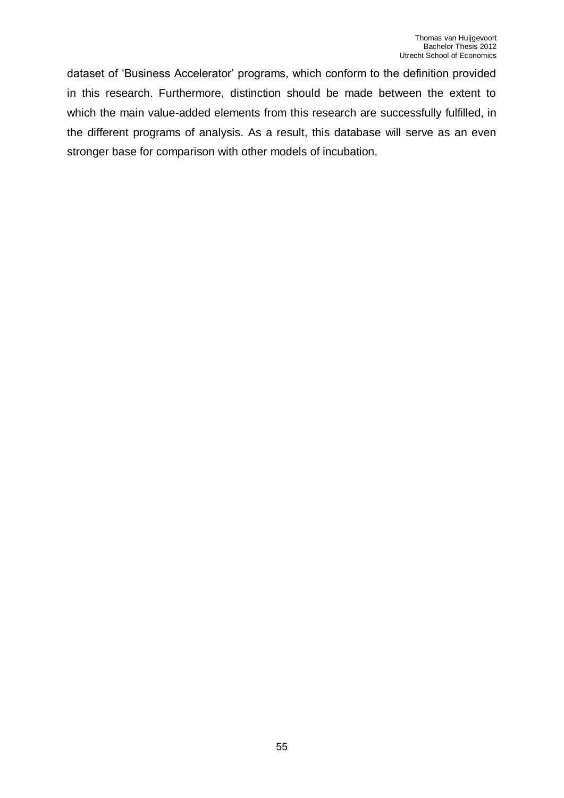dataset of 'Business Accelerator' programs, which conform to the definition provided in this research. Furthermore, distinction should be made between the extent to which the main value-added elements from this research are successfully fulfilled, in the different programs of analysis. As a result, this database will serve as an even stronger base for comparison with other models of incubation.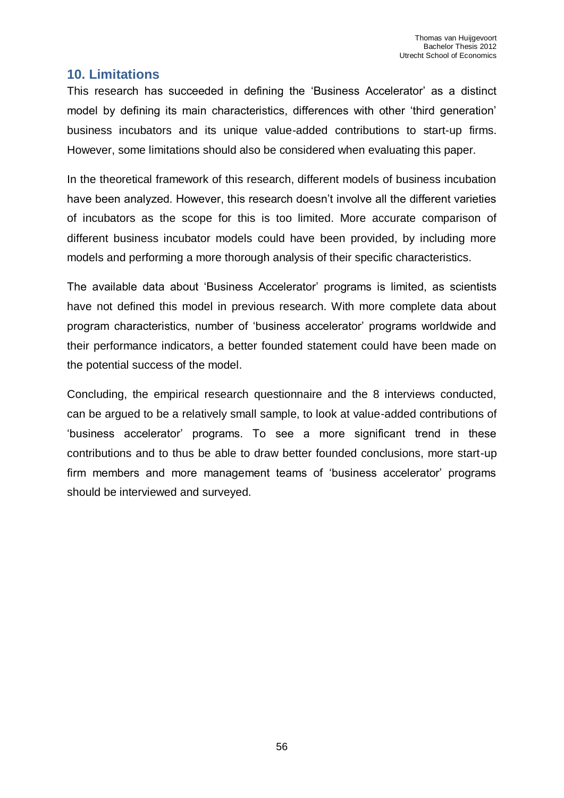## <span id="page-55-0"></span>**10. Limitations**

This research has succeeded in defining the 'Business Accelerator' as a distinct model by defining its main characteristics, differences with other 'third generation' business incubators and its unique value-added contributions to start-up firms. However, some limitations should also be considered when evaluating this paper.

In the theoretical framework of this research, different models of business incubation have been analyzed. However, this research doesn't involve all the different varieties of incubators as the scope for this is too limited. More accurate comparison of different business incubator models could have been provided, by including more models and performing a more thorough analysis of their specific characteristics.

The available data about 'Business Accelerator' programs is limited, as scientists have not defined this model in previous research. With more complete data about program characteristics, number of 'business accelerator' programs worldwide and their performance indicators, a better founded statement could have been made on the potential success of the model.

Concluding, the empirical research questionnaire and the 8 interviews conducted, can be argued to be a relatively small sample, to look at value-added contributions of 'business accelerator' programs. To see a more significant trend in these contributions and to thus be able to draw better founded conclusions, more start-up firm members and more management teams of 'business accelerator' programs should be interviewed and surveyed.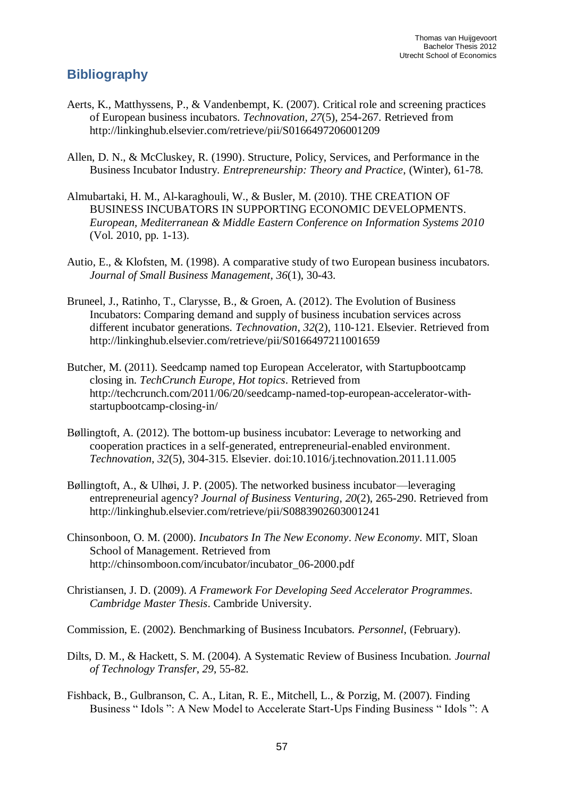# <span id="page-56-0"></span>**Bibliography**

- Aerts, K., Matthyssens, P., & Vandenbempt, K. (2007). Critical role and screening practices of European business incubators. *Technovation*, *27*(5), 254-267. Retrieved from http://linkinghub.elsevier.com/retrieve/pii/S0166497206001209
- Allen, D. N., & McCluskey, R. (1990). Structure, Policy, Services, and Performance in the Business Incubator Industry. *Entrepreneurship: Theory and Practice*, (Winter), 61-78.
- Almubartaki, H. M., Al-karaghouli, W., & Busler, M. (2010). THE CREATION OF BUSINESS INCUBATORS IN SUPPORTING ECONOMIC DEVELOPMENTS. *European, Mediterranean & Middle Eastern Conference on Information Systems 2010* (Vol. 2010, pp. 1-13).
- Autio, E., & Klofsten, M. (1998). A comparative study of two European business incubators. *Journal of Small Business Management*, *36*(1), 30-43.
- Bruneel, J., Ratinho, T., Clarysse, B., & Groen, A. (2012). The Evolution of Business Incubators: Comparing demand and supply of business incubation services across different incubator generations. *Technovation*, *32*(2), 110-121. Elsevier. Retrieved from http://linkinghub.elsevier.com/retrieve/pii/S0166497211001659
- Butcher, M. (2011). Seedcamp named top European Accelerator, with Startupbootcamp closing in. *TechCrunch Europe, Hot topics*. Retrieved from http://techcrunch.com/2011/06/20/seedcamp-named-top-european-accelerator-withstartupbootcamp-closing-in/
- Bøllingtoft, A. (2012). The bottom-up business incubator: Leverage to networking and cooperation practices in a self-generated, entrepreneurial-enabled environment. *Technovation*, *32*(5), 304-315. Elsevier. doi:10.1016/j.technovation.2011.11.005
- Bøllingtoft, A., & Ulhøi, J. P. (2005). The networked business incubator—leveraging entrepreneurial agency? *Journal of Business Venturing*, *20*(2), 265-290. Retrieved from http://linkinghub.elsevier.com/retrieve/pii/S0883902603001241
- Chinsonboon, O. M. (2000). *Incubators In The New Economy*. *New Economy*. MIT, Sloan School of Management. Retrieved from http://chinsomboon.com/incubator/incubator\_06-2000.pdf
- Christiansen, J. D. (2009). *A Framework For Developing Seed Accelerator Programmes*. *Cambridge Master Thesis*. Cambride University.
- Commission, E. (2002). Benchmarking of Business Incubators. *Personnel*, (February).
- Dilts, D. M., & Hackett, S. M. (2004). A Systematic Review of Business Incubation. *Journal of Technology Transfer*, *29*, 55-82.
- Fishback, B., Gulbranson, C. A., Litan, R. E., Mitchell, L., & Porzig, M. (2007). Finding Business " Idols ": A New Model to Accelerate Start-Ups Finding Business " Idols ": A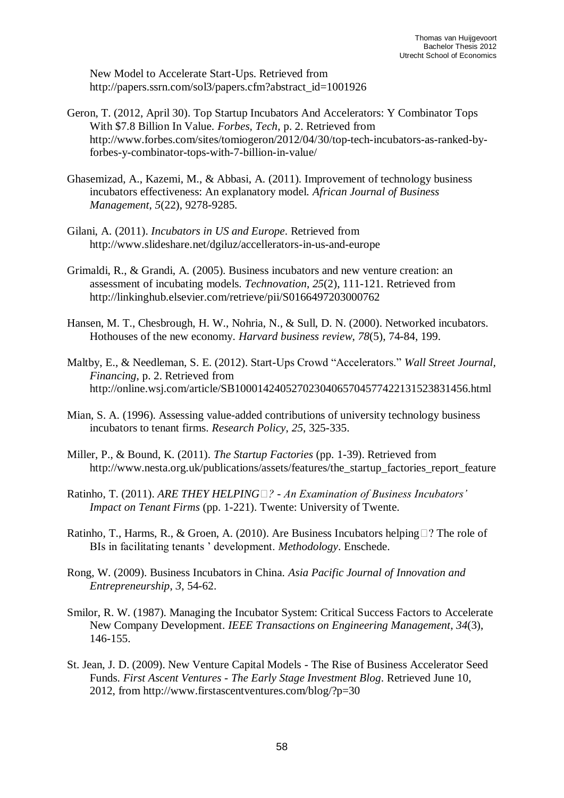New Model to Accelerate Start-Ups. Retrieved from http://papers.ssrn.com/sol3/papers.cfm?abstract\_id=1001926

- Geron, T. (2012, April 30). Top Startup Incubators And Accelerators: Y Combinator Tops With \$7.8 Billion In Value. *Forbes, Tech*, p. 2. Retrieved from http://www.forbes.com/sites/tomiogeron/2012/04/30/top-tech-incubators-as-ranked-byforbes-y-combinator-tops-with-7-billion-in-value/
- Ghasemizad, A., Kazemi, M., & Abbasi, A. (2011). Improvement of technology business incubators effectiveness: An explanatory model. *African Journal of Business Management*, *5*(22), 9278-9285.
- Gilani, A. (2011). *Incubators in US and Europe*. Retrieved from http://www.slideshare.net/dgiluz/accellerators-in-us-and-europe
- Grimaldi, R., & Grandi, A. (2005). Business incubators and new venture creation: an assessment of incubating models. *Technovation*, *25*(2), 111-121. Retrieved from http://linkinghub.elsevier.com/retrieve/pii/S0166497203000762
- Hansen, M. T., Chesbrough, H. W., Nohria, N., & Sull, D. N. (2000). Networked incubators. Hothouses of the new economy. *Harvard business review*, *78*(5), 74-84, 199.
- Maltby, E., & Needleman, S. E. (2012). Start-Ups Crowd "Accelerators." *Wall Street Journal, Financing*, p. 2. Retrieved from http://online.wsj.com/article/SB10001424052702304065704577422131523831456.html
- Mian, S. A. (1996). Assessing value-added contributions of university technology business incubators to tenant firms. *Research Policy*, *25*, 325-335.
- Miller, P., & Bound, K. (2011). *The Startup Factories* (pp. 1-39). Retrieved from http://www.nesta.org.uk/publications/assets/features/the\_startup\_factories\_report\_feature
- Ratinho, T. (2011). *ARE THEY HELPING ? - An Examination of Business Incubators' Impact on Tenant Firms* (pp. 1-221). Twente: University of Twente.
- Ratinho, T., Harms, R., & Groen, A. (2010). Are Business Incubators helping ? The role of BIs in facilitating tenants ' development. *Methodology*. Enschede.
- Rong, W. (2009). Business Incubators in China. *Asia Pacific Journal of Innovation and Entrepreneurship*, *3*, 54-62.
- Smilor, R. W. (1987). Managing the Incubator System: Critical Success Factors to Accelerate New Company Development. *IEEE Transactions on Engineering Management*, *34*(3), 146-155.
- St. Jean, J. D. (2009). New Venture Capital Models The Rise of Business Accelerator Seed Funds. *First Ascent Ventures - The Early Stage Investment Blog*. Retrieved June 10, 2012, from http://www.firstascentventures.com/blog/?p=30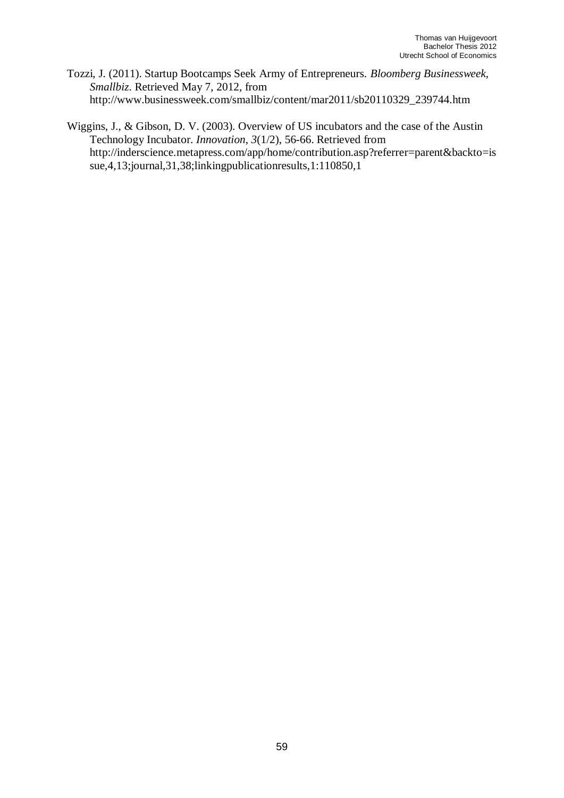- Tozzi, J. (2011). Startup Bootcamps Seek Army of Entrepreneurs. *Bloomberg Businessweek, Smallbiz*. Retrieved May 7, 2012, from http://www.businessweek.com/smallbiz/content/mar2011/sb20110329\_239744.htm
- Wiggins, J., & Gibson, D. V. (2003). Overview of US incubators and the case of the Austin Technology Incubator. *Innovation*, *3*(1/2), 56-66. Retrieved from http://inderscience.metapress.com/app/home/contribution.asp?referrer=parent&backto=is sue,4,13;journal,31,38;linkingpublicationresults,1:110850,1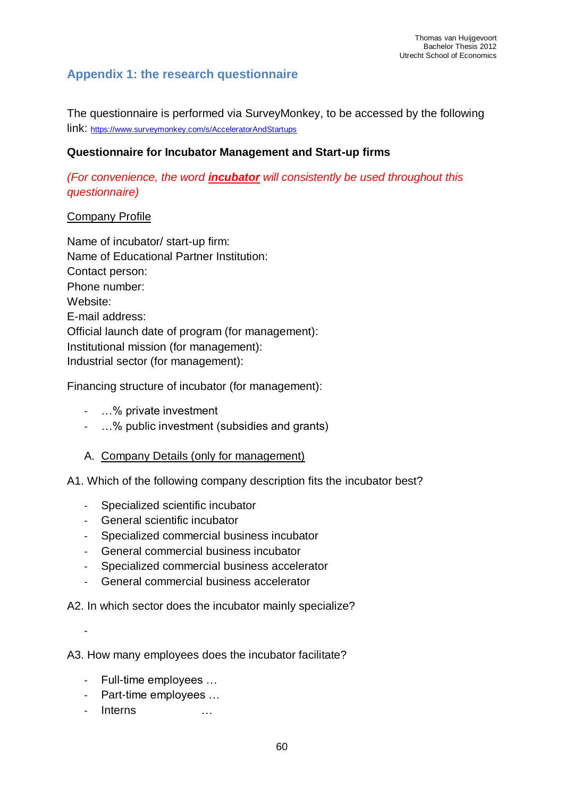# <span id="page-59-0"></span>**Appendix 1: the research questionnaire**

The questionnaire is performed via SurveyMonkey, to be accessed by the following link: <https://www.surveymonkey.com/s/AcceleratorAndStartups>

### **Questionnaire for Incubator Management and Start-up firms**

*(For convenience, the word incubator will consistently be used throughout this questionnaire)*

#### Company Profile

Name of incubator/ start-up firm: Name of Educational Partner Institution: Contact person: Phone number: Website: E-mail address: Official launch date of program (for management): Institutional mission (for management): Industrial sector (for management):

Financing structure of incubator (for management):

- …% private investment
- …% public investment (subsidies and grants)

## A. Company Details (only for management)

A1. Which of the following company description fits the incubator best?

- Specialized scientific incubator
- General scientific incubator
- Specialized commercial business incubator
- General commercial business incubator
- Specialized commercial business accelerator
- General commercial business accelerator

A2. In which sector does the incubator mainly specialize?

-

A3. How many employees does the incubator facilitate?

- Full-time employees …
- Part-time employees …
- Interns …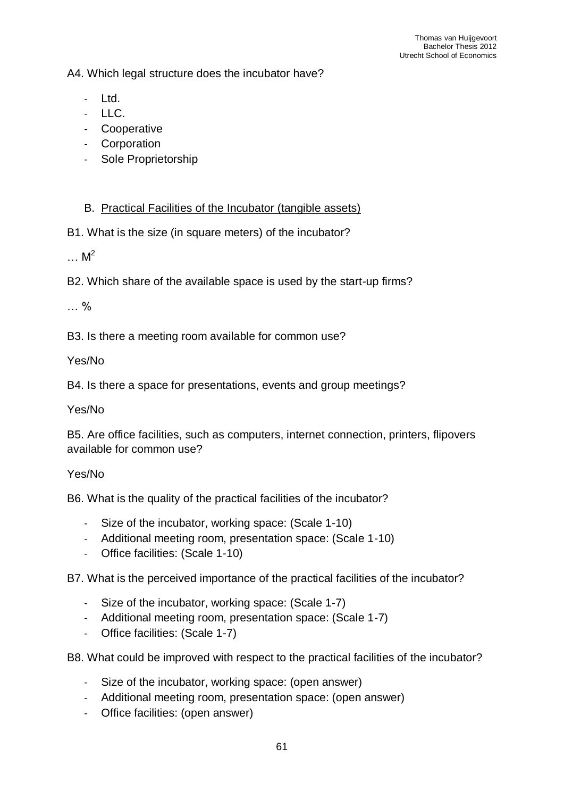A4. Which legal structure does the incubator have?

- Ltd.
- LLC.
- Cooperative
- Corporation
- Sole Proprietorship

## B. Practical Facilities of the Incubator (tangible assets)

B1. What is the size (in square meters) of the incubator?

 $\ldots$  M<sup>2</sup>

B2. Which share of the available space is used by the start-up firms?

… %

B3. Is there a meeting room available for common use?

Yes/No

B4. Is there a space for presentations, events and group meetings?

Yes/No

B5. Are office facilities, such as computers, internet connection, printers, flipovers available for common use?

## Yes/No

B6. What is the quality of the practical facilities of the incubator?

- Size of the incubator, working space: (Scale 1-10)
- Additional meeting room, presentation space: (Scale 1-10)
- Office facilities: (Scale 1-10)

B7. What is the perceived importance of the practical facilities of the incubator?

- Size of the incubator, working space: (Scale 1-7)
- Additional meeting room, presentation space: (Scale 1-7)
- Office facilities: (Scale 1-7)

B8. What could be improved with respect to the practical facilities of the incubator?

- Size of the incubator, working space: (open answer)
- Additional meeting room, presentation space: (open answer)
- Office facilities: (open answer)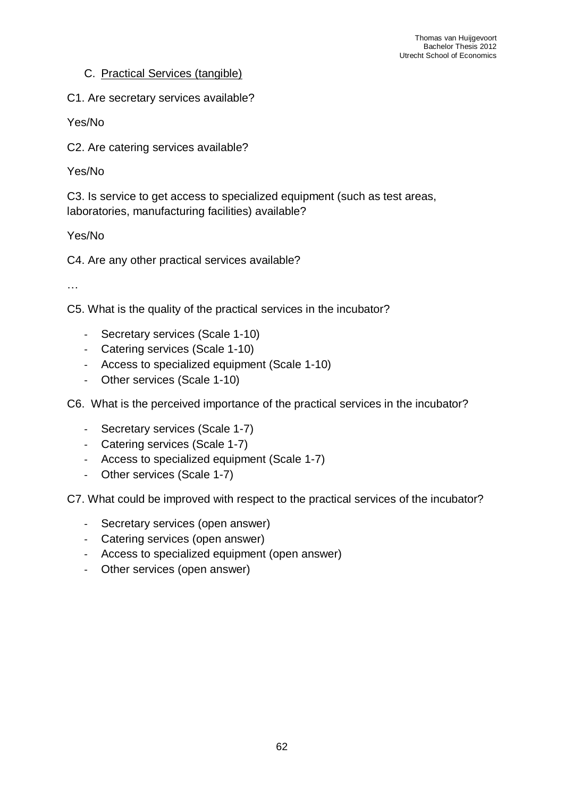#### C. Practical Services (tangible)

C1. Are secretary services available?

Yes/No

C2. Are catering services available?

Yes/No

C3. Is service to get access to specialized equipment (such as test areas, laboratories, manufacturing facilities) available?

Yes/No

C4. Are any other practical services available?

…

C5. What is the quality of the practical services in the incubator?

- Secretary services (Scale 1-10)
- Catering services (Scale 1-10)
- Access to specialized equipment (Scale 1-10)
- Other services (Scale 1-10)

C6. What is the perceived importance of the practical services in the incubator?

- Secretary services (Scale 1-7)
- Catering services (Scale 1-7)
- Access to specialized equipment (Scale 1-7)
- Other services (Scale 1-7)

C7. What could be improved with respect to the practical services of the incubator?

- Secretary services (open answer)
- Catering services (open answer)
- Access to specialized equipment (open answer)
- Other services (open answer)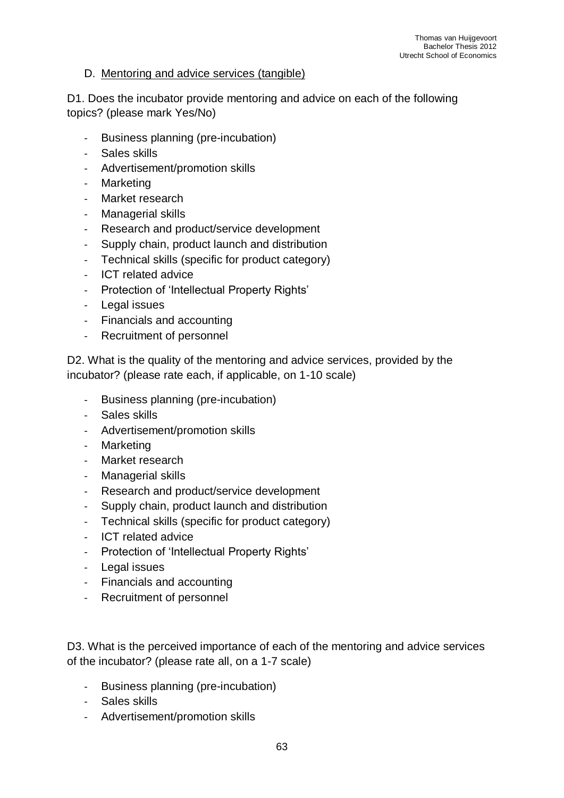#### D. Mentoring and advice services (tangible)

D1. Does the incubator provide mentoring and advice on each of the following topics? (please mark Yes/No)

- Business planning (pre-incubation)
- Sales skills
- Advertisement/promotion skills
- Marketing
- Market research
- Managerial skills
- Research and product/service development
- Supply chain, product launch and distribution
- Technical skills (specific for product category)
- ICT related advice
- Protection of 'Intellectual Property Rights'
- Legal issues
- Financials and accounting
- Recruitment of personnel

D2. What is the quality of the mentoring and advice services, provided by the incubator? (please rate each, if applicable, on 1-10 scale)

- Business planning (pre-incubation)
- Sales skills
- Advertisement/promotion skills
- Marketing
- Market research
- Managerial skills
- Research and product/service development
- Supply chain, product launch and distribution
- Technical skills (specific for product category)
- ICT related advice
- Protection of 'Intellectual Property Rights'
- Legal issues
- Financials and accounting
- Recruitment of personnel

D3. What is the perceived importance of each of the mentoring and advice services of the incubator? (please rate all, on a 1-7 scale)

- Business planning (pre-incubation)
- Sales skills
- Advertisement/promotion skills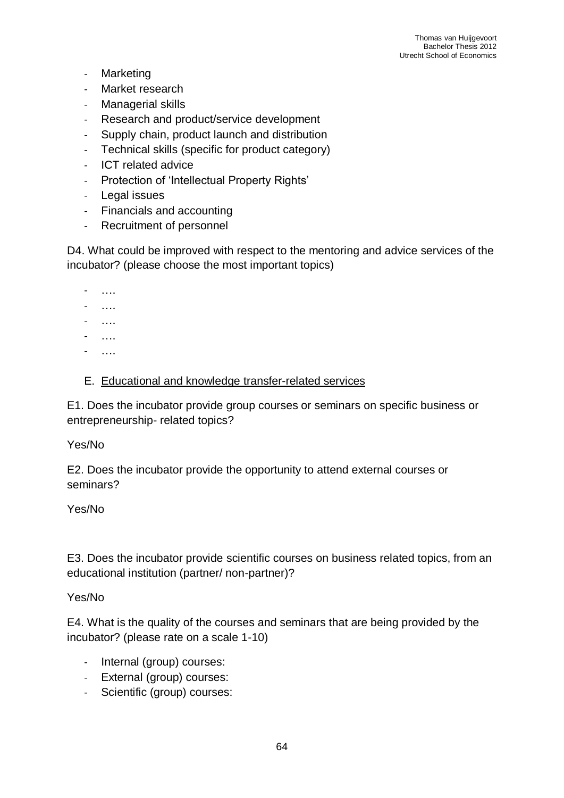- Marketing
- Market research
- Managerial skills
- Research and product/service development
- Supply chain, product launch and distribution
- Technical skills (specific for product category)
- ICT related advice
- Protection of 'Intellectual Property Rights'
- Legal issues
- Financials and accounting
- Recruitment of personnel

D4. What could be improved with respect to the mentoring and advice services of the incubator? (please choose the most important topics)

- ….
- ….
- ….
- ….
- ….

#### E. Educational and knowledge transfer-related services

E1. Does the incubator provide group courses or seminars on specific business or entrepreneurship- related topics?

#### Yes/No

E2. Does the incubator provide the opportunity to attend external courses or seminars?

#### Yes/No

E3. Does the incubator provide scientific courses on business related topics, from an educational institution (partner/ non-partner)?

#### Yes/No

E4. What is the quality of the courses and seminars that are being provided by the incubator? (please rate on a scale 1-10)

- Internal (group) courses:
- External (group) courses:
- Scientific (group) courses: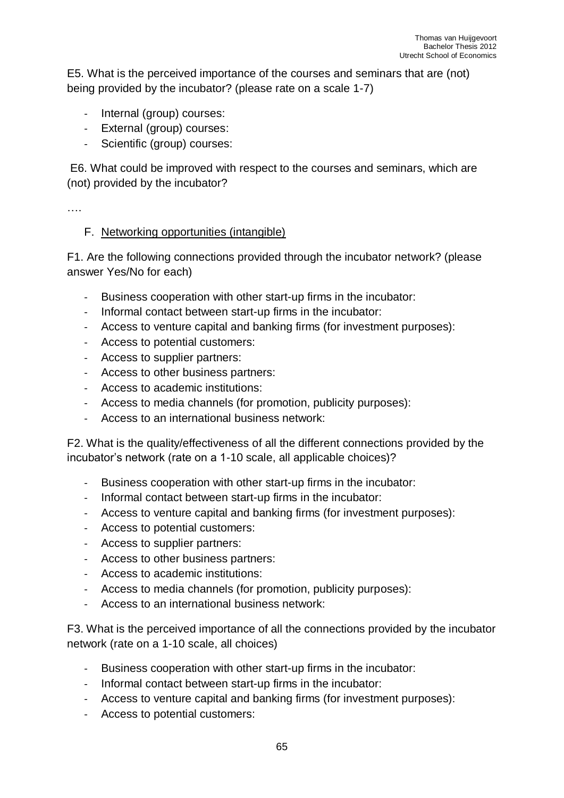E5. What is the perceived importance of the courses and seminars that are (not) being provided by the incubator? (please rate on a scale 1-7)

- Internal (group) courses:
- External (group) courses:
- Scientific (group) courses:

E6. What could be improved with respect to the courses and seminars, which are (not) provided by the incubator?

….

## F. Networking opportunities (intangible)

F1. Are the following connections provided through the incubator network? (please answer Yes/No for each)

- Business cooperation with other start-up firms in the incubator:
- Informal contact between start-up firms in the incubator:
- Access to venture capital and banking firms (for investment purposes):
- Access to potential customers:
- Access to supplier partners:
- Access to other business partners:
- Access to academic institutions:
- Access to media channels (for promotion, publicity purposes):
- Access to an international business network:

F2. What is the quality/effectiveness of all the different connections provided by the incubator's network (rate on a 1-10 scale, all applicable choices)?

- Business cooperation with other start-up firms in the incubator:
- Informal contact between start-up firms in the incubator:
- Access to venture capital and banking firms (for investment purposes):
- Access to potential customers:
- Access to supplier partners:
- Access to other business partners:
- Access to academic institutions:
- Access to media channels (for promotion, publicity purposes):
- Access to an international business network:

F3. What is the perceived importance of all the connections provided by the incubator network (rate on a 1-10 scale, all choices)

- Business cooperation with other start-up firms in the incubator:
- Informal contact between start-up firms in the incubator:
- Access to venture capital and banking firms (for investment purposes):
- Access to potential customers: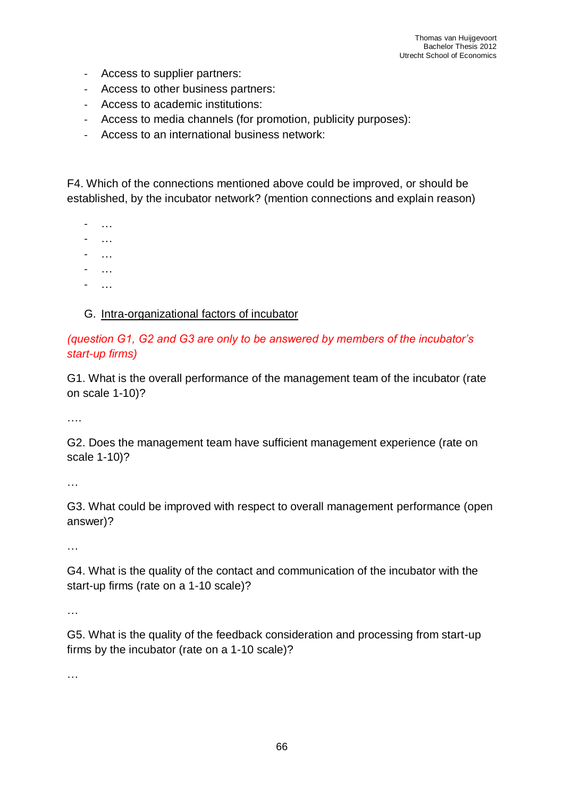- Access to supplier partners:
- Access to other business partners:
- Access to academic institutions:
- Access to media channels (for promotion, publicity purposes):
- Access to an international business network:

F4. Which of the connections mentioned above could be improved, or should be established, by the incubator network? (mention connections and explain reason)

- …
- …
- …
- …
- $\sim$  . . .

## G. Intra-organizational factors of incubator

## *(question G1, G2 and G3 are only to be answered by members of the incubator's start-up firms)*

G1. What is the overall performance of the management team of the incubator (rate on scale 1-10)?

….

G2. Does the management team have sufficient management experience (rate on scale 1-10)?

…

G3. What could be improved with respect to overall management performance (open answer)?

…

G4. What is the quality of the contact and communication of the incubator with the start-up firms (rate on a 1-10 scale)?

…

G5. What is the quality of the feedback consideration and processing from start-up firms by the incubator (rate on a 1-10 scale)?

…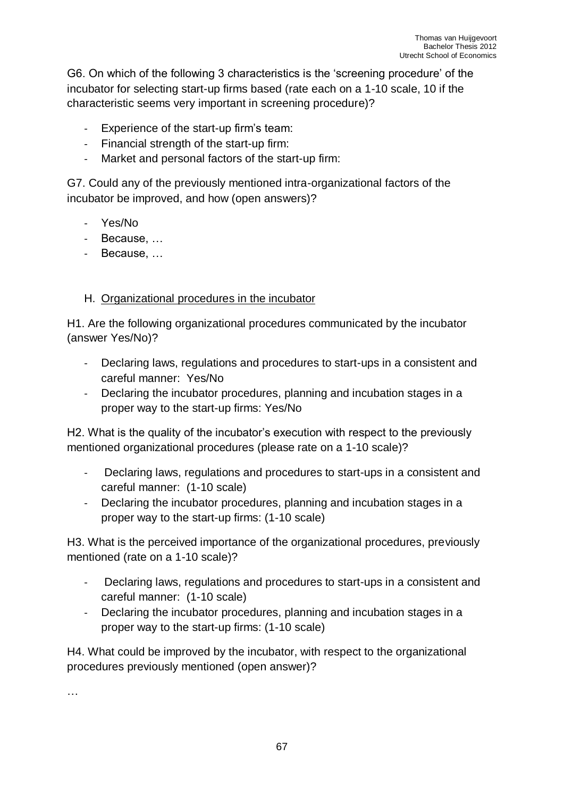G6. On which of the following 3 characteristics is the 'screening procedure' of the incubator for selecting start-up firms based (rate each on a 1-10 scale, 10 if the characteristic seems very important in screening procedure)?

- Experience of the start-up firm's team:
- Financial strength of the start-up firm:
- Market and personal factors of the start-up firm:

G7. Could any of the previously mentioned intra-organizational factors of the incubator be improved, and how (open answers)?

- Yes/No
- Because, …
- Because, …

## H. Organizational procedures in the incubator

H1. Are the following organizational procedures communicated by the incubator (answer Yes/No)?

- Declaring laws, regulations and procedures to start-ups in a consistent and careful manner: Yes/No
- Declaring the incubator procedures, planning and incubation stages in a proper way to the start-up firms: Yes/No

H2. What is the quality of the incubator's execution with respect to the previously mentioned organizational procedures (please rate on a 1-10 scale)?

- Declaring laws, regulations and procedures to start-ups in a consistent and careful manner: (1-10 scale)
- Declaring the incubator procedures, planning and incubation stages in a proper way to the start-up firms: (1-10 scale)

H3. What is the perceived importance of the organizational procedures, previously mentioned (rate on a 1-10 scale)?

- Declaring laws, regulations and procedures to start-ups in a consistent and careful manner: (1-10 scale)
- Declaring the incubator procedures, planning and incubation stages in a proper way to the start-up firms: (1-10 scale)

H4. What could be improved by the incubator, with respect to the organizational procedures previously mentioned (open answer)?

…